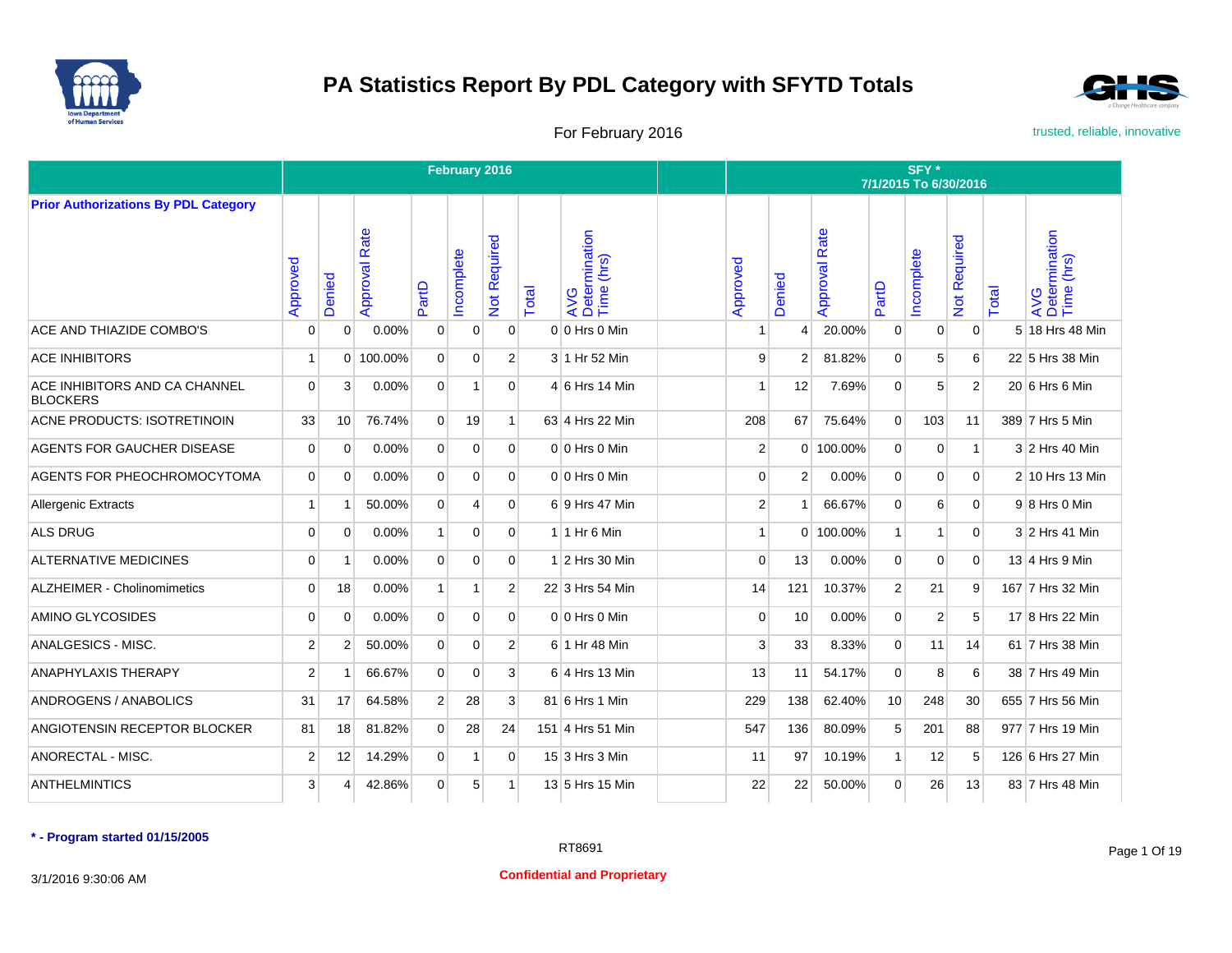



For February 2016 **For February 2016** trusted, reliable, innovative

|                                                  |                |                |                  |                | February 2016  |                |       |                                    |                |                |                      |                 | SFY*<br>7/1/2015 To 6/30/2016 |                           |       |                                    |
|--------------------------------------------------|----------------|----------------|------------------|----------------|----------------|----------------|-------|------------------------------------|----------------|----------------|----------------------|-----------------|-------------------------------|---------------------------|-------|------------------------------------|
| <b>Prior Authorizations By PDL Category</b>      |                |                |                  |                |                |                |       |                                    |                |                |                      |                 |                               |                           |       |                                    |
|                                                  | Approved       | Denied         | Rate<br>Approval | PartD          | ncomplete      | Not Required   | Total | AVG<br>Determination<br>Time (hrs) | Approved       | Denied         | <b>Approval Rate</b> | PartD           | ncomplete                     | Required<br>$\frac{5}{7}$ | Total | AVG<br>Determination<br>Time (hrs) |
| ACE AND THIAZIDE COMBO'S                         | $\Omega$       | $\Omega$       | 0.00%            | $\mathbf{0}$   | $\mathbf 0$    | $\Omega$       |       | 0 0 Hrs 0 Min                      |                | 4              | 20.00%               | $\mathbf{0}$    | $\overline{0}$                | $\mathbf{0}$              |       | 5 18 Hrs 48 Min                    |
| <b>ACE INHIBITORS</b>                            | -1             |                | 0 100.00%        | $\overline{0}$ | $\Omega$       | 2 <sup>1</sup> |       | 3 1 Hr 52 Min                      | 9              | $\overline{2}$ | 81.82%               | $\mathbf{0}$    | 5                             | 6                         |       | 22 5 Hrs 38 Min                    |
| ACE INHIBITORS AND CA CHANNEL<br><b>BLOCKERS</b> | $\overline{0}$ | 3              | 0.00%            | $\overline{0}$ | 1              | $\overline{0}$ |       | $4 6$ Hrs 14 Min                   | 1              | 12             | 7.69%                | $\mathbf{0}$    | 5                             | $\overline{2}$            |       | 20 6 Hrs 6 Min                     |
| <b>ACNE PRODUCTS: ISOTRETINOIN</b>               | 33             | 10             | 76.74%           | $\overline{0}$ | 19             | 1              |       | 63 4 Hrs 22 Min                    | 208            | 67             | 75.64%               | $\overline{0}$  | 103                           | 11                        |       | 389 7 Hrs 5 Min                    |
| <b>AGENTS FOR GAUCHER DISEASE</b>                | $\overline{0}$ | $\Omega$       | $0.00\%$         | $\overline{0}$ | $\Omega$       | $\overline{0}$ |       | $0 0$ Hrs $0$ Min                  | 2              |                | 0 100.00%            | $\mathbf{0}$    | 0                             | 1                         |       | 3 2 Hrs 40 Min                     |
| AGENTS FOR PHEOCHROMOCYTOMA                      | $\Omega$       | $\Omega$       | 0.00%            | $\overline{0}$ | $\Omega$       | $\overline{0}$ |       | $0 0$ Hrs $0$ Min                  | 0              | 2 <sup>1</sup> | 0.00%                | $\mathbf{0}$    | 0                             | $\overline{0}$            |       | 2 10 Hrs 13 Min                    |
| <b>Allergenic Extracts</b>                       | $\overline{1}$ |                | 50.00%           | $\overline{0}$ | $\overline{4}$ | $\Omega$       |       | 6 9 Hrs 47 Min                     | $\overline{2}$ |                | 66.67%               | $\mathbf{0}$    | 6                             | $\Omega$                  |       | $9 8$ Hrs 0 Min                    |
| <b>ALS DRUG</b>                                  | $\Omega$       | $\Omega$       | 0.00%            | $\mathbf{1}$   | $\Omega$       | $\Omega$       |       | $1$ 1 Hr 6 Min                     | 1              |                | 0 100.00%            | $\mathbf{1}$    | 1                             | $\overline{0}$            |       | 3 2 Hrs 41 Min                     |
| <b>ALTERNATIVE MEDICINES</b>                     | $\overline{0}$ | 1              | 0.00%            | $\Omega$       | $\Omega$       | $\Omega$       |       | $1$ 2 Hrs 30 Min                   | $\mathbf 0$    | 13             | 0.00%                | $\mathbf{0}$    | $\Omega$                      | $\mathbf{0}$              |       | 13 4 Hrs 9 Min                     |
| <b>ALZHEIMER - Cholinomimetics</b>               | $\Omega$       | 18             | 0.00%            | $\mathbf{1}$   | 1              | $\overline{2}$ |       | 22 3 Hrs 54 Min                    | 14             | 121            | 10.37%               | 2               | 21                            | 9                         |       | 167 7 Hrs 32 Min                   |
| AMINO GLYCOSIDES                                 | $\Omega$       | $\Omega$       | 0.00%            | $\Omega$       | $\Omega$       | $\Omega$       |       | $0 0$ Hrs $0$ Min                  | $\Omega$       | 10             | 0.00%                | $\Omega$        | 2                             | 5                         |       | 17 8 Hrs 22 Min                    |
| ANALGESICS - MISC.                               | $\overline{2}$ | $\overline{2}$ | 50.00%           | $\overline{0}$ | $\mathbf 0$    | $\overline{2}$ |       | 6 1 Hr 48 Min                      | 3              | 33             | 8.33%                | $\mathbf{0}$    | 11                            | 14                        |       | 61 7 Hrs 38 Min                    |
| <b>ANAPHYLAXIS THERAPY</b>                       | $\overline{2}$ |                | 66.67%           | $\Omega$       | $\Omega$       | $\mathbf{3}$   |       | $6$ 4 Hrs 13 Min                   | 13             | 11             | 54.17%               | $\Omega$        | 8                             | 6                         |       | 38 7 Hrs 49 Min                    |
| ANDROGENS / ANABOLICS                            | 31             | 17             | 64.58%           | 2 <sup>1</sup> | 28             | $\overline{3}$ |       | 81 6 Hrs 1 Min                     | 229            | 138            | 62.40%               | 10 <sup>1</sup> | 248                           | 30                        |       | 655 7 Hrs 56 Min                   |
| ANGIOTENSIN RECEPTOR BLOCKER                     | 81             | 18             | 81.82%           | $\Omega$       | 28             | 24             |       | 151 4 Hrs 51 Min                   | 547            | 136            | 80.09%               | 5               | 201                           | 88                        |       | 977 7 Hrs 19 Min                   |
| ANORECTAL - MISC.                                | $\overline{2}$ | 12             | 14.29%           | $\overline{0}$ | 1              | $\Omega$       |       | 15 3 Hrs 3 Min                     | 11             | 97             | 10.19%               | $\mathbf{1}$    | 12                            | 5                         |       | 126 6 Hrs 27 Min                   |
| <b>ANTHELMINTICS</b>                             | $\mathbf{3}$   | 4              | 42.86%           | $\overline{0}$ | 5              | 1 <sup>1</sup> |       | 13 5 Hrs 15 Min                    | 22             | 22             | 50.00%               | $\mathbf{0}$    | 26                            | 13                        |       | 83 7 Hrs 48 Min                    |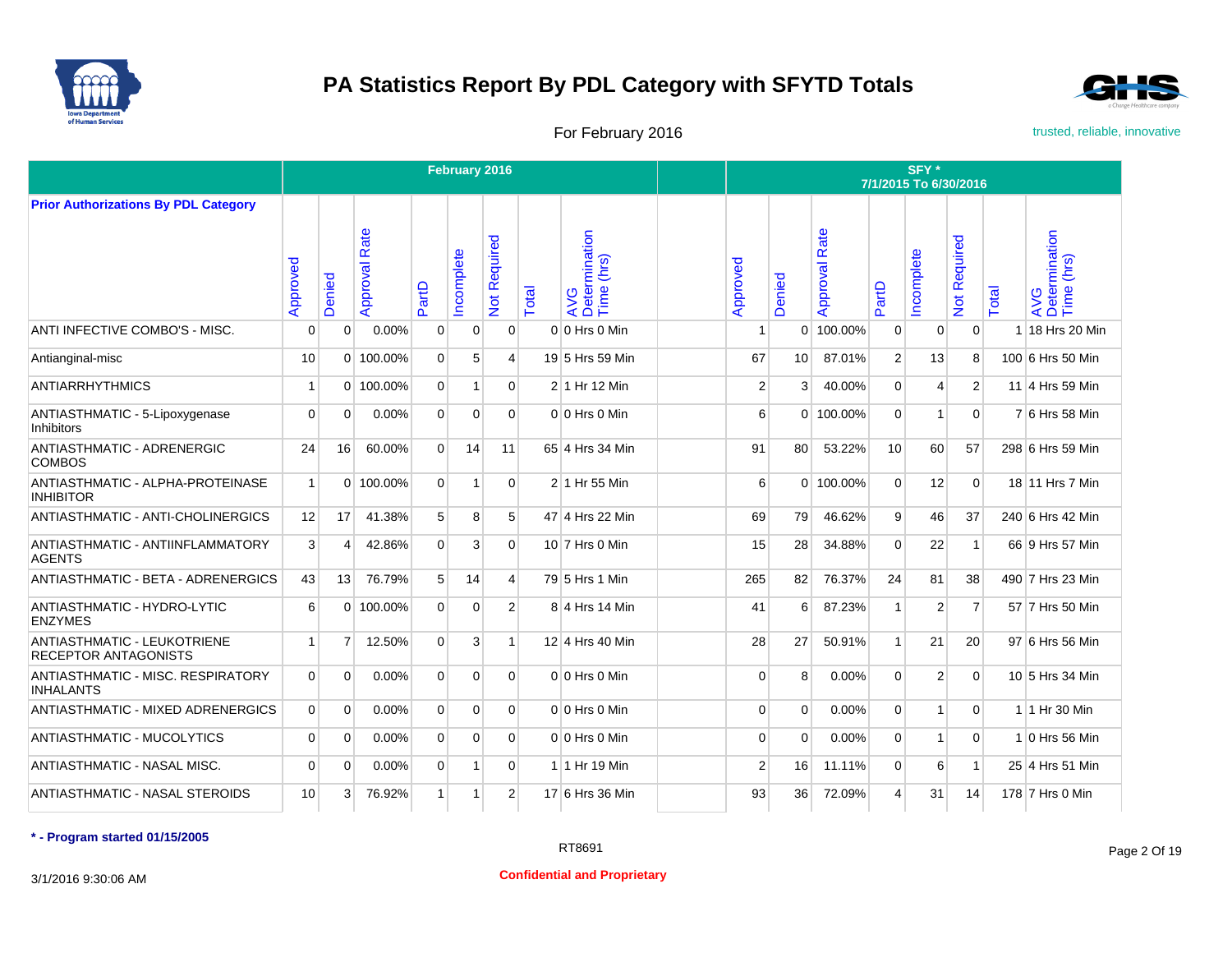



For February 2016 **For February 2016** trusted, reliable, innovative

|                                                                   |                |                       |                  |                | February 2016  |                |       |                                    |                |          |                  |                | SFY *<br>7/1/2015 To 6/30/2016 |                |       |                                    |
|-------------------------------------------------------------------|----------------|-----------------------|------------------|----------------|----------------|----------------|-------|------------------------------------|----------------|----------|------------------|----------------|--------------------------------|----------------|-------|------------------------------------|
| <b>Prior Authorizations By PDL Category</b>                       |                |                       |                  |                |                |                |       |                                    |                |          |                  |                |                                |                |       |                                    |
|                                                                   | Approved       | Denied                | Rate<br>Approval | PartD          | ncomplete      | Not Required   | Total | AVG<br>Determination<br>Time (hrs) | Approved       | Denied   | Rate<br>Approval | PartD          | ncomplete                      | Not Required   | Total | AVG<br>Determination<br>Time (hrs) |
| ANTI INFECTIVE COMBO'S - MISC.                                    | $\Omega$       | $\Omega$              | $0.00\%$         | $\Omega$       | $\mathbf 0$    | $\Omega$       |       | 0 0 Hrs 0 Min                      |                | $\Omega$ | 100.00%          | $\mathbf{0}$   | 0                              | $\Omega$       | 1     | 18 Hrs 20 Min                      |
| Antianginal-misc                                                  | 10             | $\Omega$              | 100.00%          | $\Omega$       | 5              | $\overline{4}$ |       | 19 5 Hrs 59 Min                    | 67             | 10       | 87.01%           | $\overline{2}$ | 13                             | 8              |       | 100 6 Hrs 50 Min                   |
| <b>ANTIARRHYTHMICS</b>                                            | 1              | $\Omega$              | 100.00%          | $\Omega$       | $\mathbf{1}$   | $\Omega$       |       | 2 1 Hr 12 Min                      | $\overline{2}$ | 3        | 40.00%           | $\Omega$       | 4                              | $\overline{2}$ |       | 11 4 Hrs 59 Min                    |
| ANTIASTHMATIC - 5-Lipoxygenase<br><b>Inhibitors</b>               | $\mathbf 0$    | $\Omega$              | 0.00%            | $\Omega$       | $\mathbf 0$    | $\Omega$       |       | $0 0$ Hrs $0$ Min                  | 6              |          | 0 100.00%        | $\mathbf{0}$   | 1                              | $\Omega$       |       | 7 6 Hrs 58 Min                     |
| ANTIASTHMATIC - ADRENERGIC<br><b>COMBOS</b>                       | 24             | 16                    | 60.00%           | $\Omega$       | 14             | 11             |       | 65 4 Hrs 34 Min                    | 91             | 80       | 53.22%           | 10             | 60                             | 57             |       | 298 6 Hrs 59 Min                   |
| ANTIASTHMATIC - ALPHA-PROTEINASE<br><b>INHIBITOR</b>              | $\overline{1}$ | $\Omega$              | 100.00%          | $\Omega$       | $\overline{1}$ | $\Omega$       |       | 2 1 Hr 55 Min                      | 6              |          | 0 100.00%        | $\Omega$       | 12                             | $\Omega$       |       | 18 11 Hrs 7 Min                    |
| ANTIASTHMATIC - ANTI-CHOLINERGICS                                 | 12             | 17                    | 41.38%           | 5              | 8              | 5              |       | 47 4 Hrs 22 Min                    | 69             | 79       | 46.62%           | 9              | 46                             | 37             |       | 240 6 Hrs 42 Min                   |
| ANTIASTHMATIC - ANTIINFLAMMATORY<br><b>AGENTS</b>                 | 3              | $\boldsymbol{\Delta}$ | 42.86%           | $\Omega$       | 3              | $\Omega$       |       | 10 7 Hrs 0 Min                     | 15             | 28       | 34.88%           | $\Omega$       | 22                             | $\mathbf{1}$   |       | 66 9 Hrs 57 Min                    |
| <b>ANTIASTHMATIC - BETA - ADRENERGICS</b>                         | 43             | 13                    | 76.79%           | 5              | 14             | 4              |       | 79 5 Hrs 1 Min                     | 265            | 82       | 76.37%           | 24             | 81                             | 38             |       | 490 7 Hrs 23 Min                   |
| ANTIASTHMATIC - HYDRO-LYTIC<br><b>ENZYMES</b>                     | 6              | $\Omega$              | 100.00%          | $\Omega$       | $\mathbf 0$    | $\overline{2}$ |       | 8 4 Hrs 14 Min                     | 41             | 6        | 87.23%           | $\mathbf{1}$   | $\overline{2}$                 | $\overline{7}$ |       | 57 7 Hrs 50 Min                    |
| <b>ANTIASTHMATIC - LEUKOTRIENE</b><br><b>RECEPTOR ANTAGONISTS</b> | $\overline{1}$ | $\overline{7}$        | 12.50%           | $\Omega$       | 3              | 1              |       | 12 4 Hrs 40 Min                    | 28             | 27       | 50.91%           | $\mathbf{1}$   | 21                             | 20             |       | 97 6 Hrs 56 Min                    |
| ANTIASTHMATIC - MISC, RESPIRATORY<br><b>INHALANTS</b>             | $\Omega$       | $\Omega$              | 0.00%            | $\Omega$       | $\Omega$       | $\Omega$       |       | $0 \vert 0$ Hrs $0$ Min            | $\Omega$       | 8        | 0.00%            | $\Omega$       | $\overline{2}$                 | $\Omega$       |       | 10 5 Hrs 34 Min                    |
| <b>ANTIASTHMATIC - MIXED ADRENERGICS</b>                          | $\Omega$       | $\Omega$              | 0.00%            | $\overline{0}$ | $\Omega$       | $\Omega$       |       | $0 0$ Hrs $0$ Min                  | $\Omega$       | $\Omega$ | 0.00%            | $\Omega$       | $\mathbf{1}$                   | $\overline{0}$ |       | 1 1 Hr 30 Min                      |
| <b>ANTIASTHMATIC - MUCOLYTICS</b>                                 | 0              | 0                     | 0.00%            | $\mathbf{0}$   | $\mathbf 0$    | $\overline{0}$ |       | $0 0$ Hrs $0$ Min                  | $\Omega$       | $\Omega$ | 0.00%            | $\mathbf{0}$   | 1                              | $\mathbf 0$    |       | 1 0 Hrs 56 Min                     |
| ANTIASTHMATIC - NASAL MISC.                                       | $\Omega$       | $\Omega$              | 0.00%            | $\Omega$       | 1              | $\Omega$       |       | 1 1 Hr 19 Min                      | 2              | 16       | 11.11%           | $\Omega$       | 6                              | $\mathbf{1}$   |       | 25 4 Hrs 51 Min                    |
| <b>ANTIASTHMATIC - NASAL STEROIDS</b>                             | 10             | 3                     | 76.92%           | $\mathbf{1}$   | $\vert$ 1      | $\overline{2}$ |       | 17 6 Hrs 36 Min                    | 93             | 36       | 72.09%           | 4              | 31                             | 14             |       | 178 7 Hrs 0 Min                    |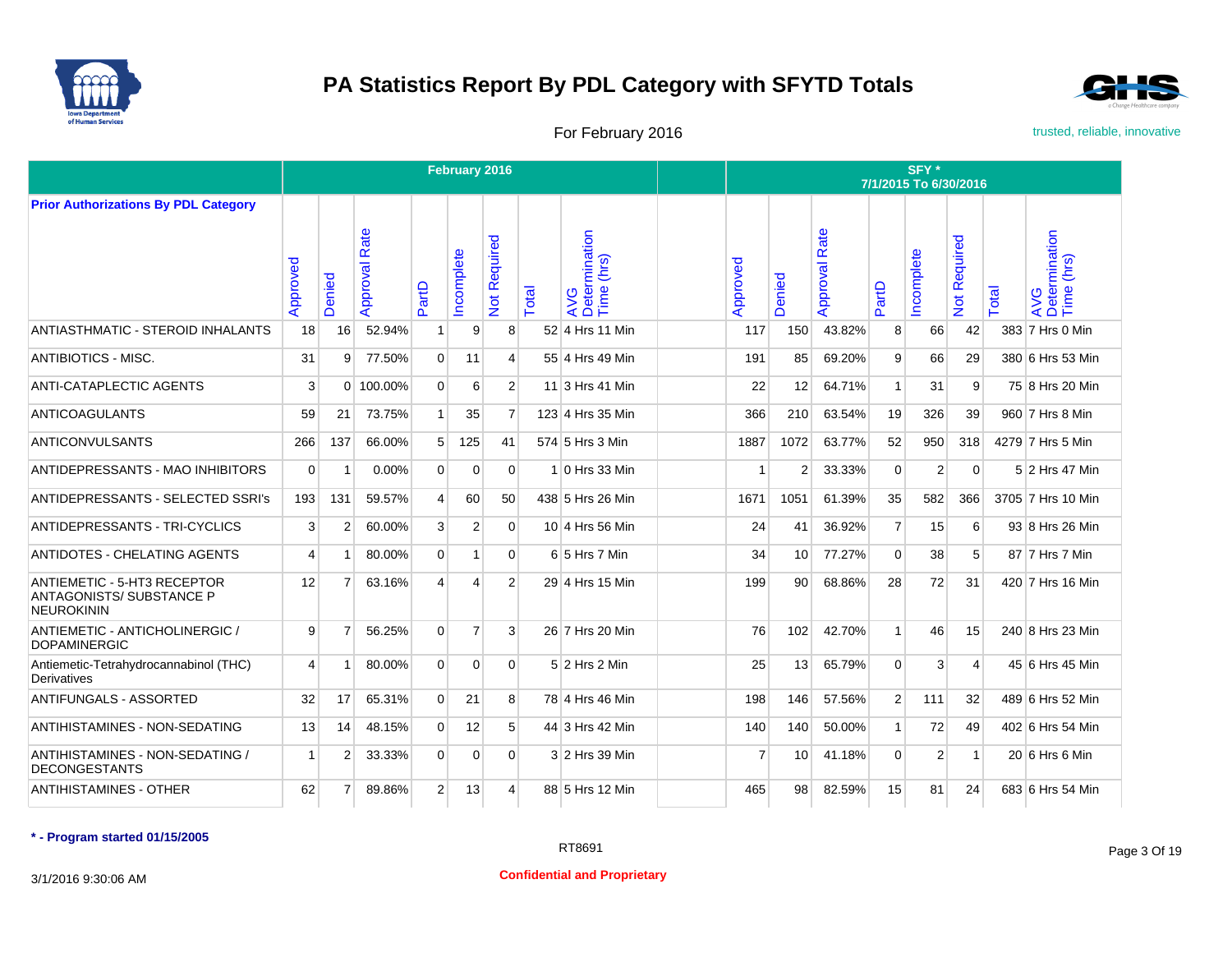



For February 2016 **For February 2016** trusted, reliable, innovative

|                                                                              |          |                |                  |                | February 2016  |                         |       |                                    |          |                |                      |                | SFY <sup>*</sup><br>7/1/2015 To 6/30/2016 |                     |       |                                    |
|------------------------------------------------------------------------------|----------|----------------|------------------|----------------|----------------|-------------------------|-------|------------------------------------|----------|----------------|----------------------|----------------|-------------------------------------------|---------------------|-------|------------------------------------|
| <b>Prior Authorizations By PDL Category</b>                                  |          |                |                  |                |                |                         |       |                                    |          |                |                      |                |                                           |                     |       |                                    |
|                                                                              | Approved | Denied         | Rate<br>Approval | PartD          | ncomplete      | Not Required            | Total | AVG<br>Determination<br>Time (hrs) | Approved | Denied         | <b>Approval Rate</b> | PartD          | ncomplete                                 | <b>Not Required</b> | Total | AVG<br>Determination<br>Time (hrs) |
| ANTIASTHMATIC - STEROID INHALANTS                                            | 18       | 16             | 52.94%           | 1              | 9              | 8 <sup>1</sup>          |       | 52 4 Hrs 11 Min                    | 117      | 150            | 43.82%               | 8              | 66                                        | 42                  |       | 383 7 Hrs 0 Min                    |
| <b>ANTIBIOTICS - MISC.</b>                                                   | 31       | 9              | 77.50%           | $\Omega$       | 11             | $\overline{\mathbf{4}}$ |       | 55 4 Hrs 49 Min                    | 191      | 85             | 69.20%               | 9              | 66                                        | 29                  |       | 380 6 Hrs 53 Min                   |
| ANTI-CATAPLECTIC AGENTS                                                      | 3        | $\Omega$       | 100.00%          | $\Omega$       | 6              | $\overline{2}$          |       | 11 3 Hrs 41 Min                    | 22       | 12             | 64.71%               | 1              | 31                                        | 9                   |       | 75 8 Hrs 20 Min                    |
| <b>ANTICOAGULANTS</b>                                                        | 59       | 21             | 73.75%           | $\mathbf{1}$   | 35             | $\overline{7}$          |       | 123 4 Hrs 35 Min                   | 366      | 210            | 63.54%               | 19             | 326                                       | 39                  |       | 960 7 Hrs 8 Min                    |
| ANTICONVULSANTS                                                              | 266      | 137            | 66.00%           | 5 <sup>1</sup> | 125            | 41                      |       | 574 5 Hrs 3 Min                    | 1887     | 1072           | 63.77%               | 52             | 950                                       | 318                 |       | 4279 7 Hrs 5 Min                   |
| ANTIDEPRESSANTS - MAO INHIBITORS                                             | $\Omega$ | -1             | $0.00\%$         | $\Omega$       | $\Omega$       | $\Omega$                |       | 1 0 Hrs 33 Min                     | -1       | $\overline{2}$ | 33.33%               | $\Omega$       | $\overline{2}$                            | $\Omega$            |       | 5 2 Hrs 47 Min                     |
| ANTIDEPRESSANTS - SELECTED SSRI's                                            | 193      | 131            | 59.57%           | $\overline{4}$ | 60             | 50                      |       | 438 5 Hrs 26 Min                   | 1671     | 1051           | 61.39%               | 35             | 582                                       | 366                 |       | 3705 7 Hrs 10 Min                  |
| ANTIDEPRESSANTS - TRI-CYCLICS                                                | 3        | $\overline{2}$ | 60.00%           | 3              | $\overline{2}$ | $\Omega$                |       | 10 4 Hrs 56 Min                    | 24       | 41             | 36.92%               | $\overline{7}$ | 15                                        | 6                   |       | 93 8 Hrs 26 Min                    |
| <b>ANTIDOTES - CHELATING AGENTS</b>                                          | 4        | 1              | 80.00%           | $\overline{0}$ | 1              | $\Omega$                |       | 6 5 Hrs 7 Min                      | 34       | 10             | 77.27%               | $\Omega$       | 38                                        | 5 <sup>1</sup>      |       | 87 7 Hrs 7 Min                     |
| ANTIEMETIC - 5-HT3 RECEPTOR<br><b>ANTAGONISTS/ SUBSTANCE P</b><br>NEUROKININ | 12       | $\overline{7}$ | 63.16%           | 4              | 4              | $\overline{2}$          |       | 29 4 Hrs 15 Min                    | 199      | 90             | 68.86%               | 28             | 72                                        | 31                  |       | 420 7 Hrs 16 Min                   |
| ANTIEMETIC - ANTICHOLINERGIC /<br><b>DOPAMINERGIC</b>                        | 9        |                | 56.25%           | $\Omega$       | $\overline{7}$ | $\mathbf{3}$            |       | 26 7 Hrs 20 Min                    | 76       | 102            | 42.70%               | 1              | 46                                        | 15                  |       | 240 8 Hrs 23 Min                   |
| Antiemetic-Tetrahydrocannabinol (THC)<br>Derivatives                         | 4        |                | 80.00%           | 0              | $\mathbf 0$    | $\Omega$                |       | $5$ 2 Hrs 2 Min                    | 25       | 13             | 65.79%               | $\Omega$       | 3                                         | $\overline{4}$      |       | 45 6 Hrs 45 Min                    |
| <b>ANTIFUNGALS - ASSORTED</b>                                                | 32       | 17             | 65.31%           | $\Omega$       | 21             | 8                       |       | 78 4 Hrs 46 Min                    | 198      | 146            | 57.56%               | $\overline{2}$ | 111                                       | 32                  |       | 489 6 Hrs 52 Min                   |
| ANTIHISTAMINES - NON-SEDATING                                                | 13       | 14             | 48.15%           | $\Omega$       | 12             | 5                       |       | 44 3 Hrs 42 Min                    | 140      | 140            | 50.00%               | 1              | 72                                        | 49                  |       | 402 6 Hrs 54 Min                   |
| ANTIHISTAMINES - NON-SEDATING /<br><b>DECONGESTANTS</b>                      | 1        | $\overline{2}$ | 33.33%           | $\Omega$       | $\mathbf 0$    | $\Omega$                |       | 3 2 Hrs 39 Min                     | 7        | 10             | 41.18%               | $\Omega$       | $\overline{2}$                            | $\mathbf{1}$        |       | 20 6 Hrs 6 Min                     |
| <b>ANTIHISTAMINES - OTHER</b>                                                | 62       | 7              | 89.86%           | $\overline{2}$ | 13             | $\overline{4}$          |       | 88 5 Hrs 12 Min                    | 465      | 98             | 82.59%               | 15             | 81                                        | 24                  |       | 683 6 Hrs 54 Min                   |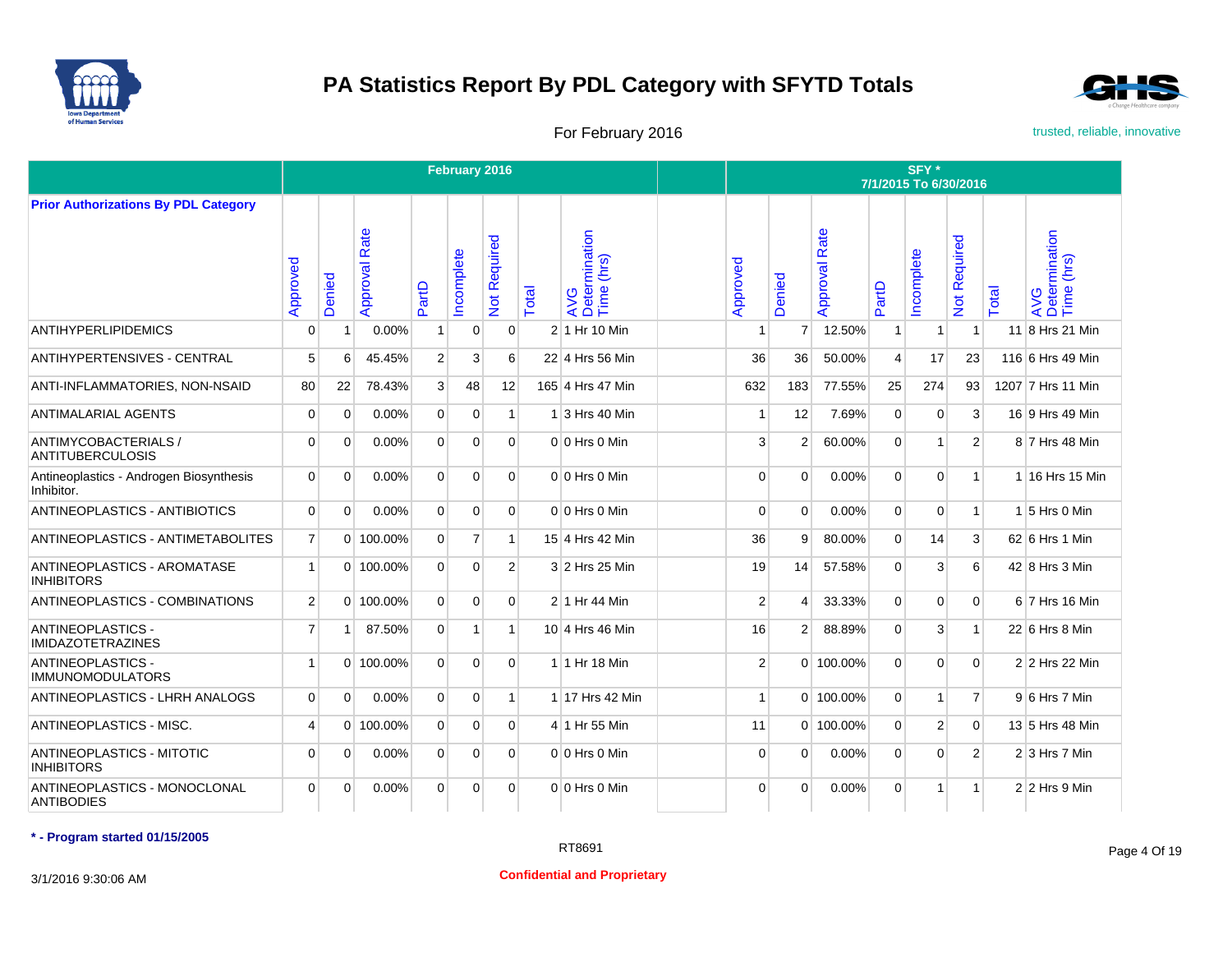



For February 2016 **For February 2016** trusted, reliable, innovative

|                                                       |                |          |                  |                | February 2016  |                |       |                                     |                |                |                      |                | SFY*<br>7/1/2015 To 6/30/2016 |                   |       |                                       |
|-------------------------------------------------------|----------------|----------|------------------|----------------|----------------|----------------|-------|-------------------------------------|----------------|----------------|----------------------|----------------|-------------------------------|-------------------|-------|---------------------------------------|
| <b>Prior Authorizations By PDL Category</b>           |                |          |                  |                |                |                |       |                                     |                |                |                      |                |                               |                   |       |                                       |
|                                                       | Approved       | Denied   | Rate<br>Approval | PartD          | ncomplete      | Not Required   | Total | AVG<br>Determination<br>Time (hrs)  | Approved       | Denied         | <b>Approval Rate</b> | PartD          | ncomplete                     | equired<br>Not Re | Total | AVG<br>Determination<br>Time (hrs)    |
| <b>ANTIHYPERLIPIDEMICS</b>                            | $\Omega$       | -1       | $0.00\%$         | 1 <sup>1</sup> | $\mathbf 0$    | $\mathbf{0}$   |       | 2 1 Hr 10 Min                       | -1             | $\overline{7}$ | 12.50%               | $\mathbf{1}$   | 1                             | $\mathbf{1}$      |       | 11 8 Hrs 21 Min                       |
| ANTIHYPERTENSIVES - CENTRAL                           | 5              | 6        | 45.45%           | 2 <sup>1</sup> | 3              | 6              |       | 22 4 Hrs 56 Min                     | 36             | 36             | 50.00%               | $\overline{4}$ | 17                            | 23                |       | 116 6 Hrs 49 Min                      |
| ANTI-INFLAMMATORIES, NON-NSAID                        | 80             | 22       | 78.43%           | 3 <sup>1</sup> | 48             | 12             |       | 165 4 Hrs 47 Min                    | 632            | 183            | 77.55%               | 25             | 274                           | 93                |       | 1207 7 Hrs 11 Min                     |
| ANTIMALARIAL AGENTS                                   | $\Omega$       | $\Omega$ | 0.00%            | $\overline{0}$ | $\mathbf 0$    | 1              |       | $1\overline{\smash{)}3}$ Hrs 40 Min |                | 12             | 7.69%                | $\mathbf{0}$   | 0                             | 3                 |       | 16 9 Hrs 49 Min                       |
| ANTIMYCOBACTERIALS /<br><b>ANTITUBERCULOSIS</b>       | $\Omega$       | $\Omega$ | 0.00%            | $\Omega$       | $\Omega$       | $\Omega$       |       | $0 0$ Hrs $0$ Min                   | 3              | $\overline{2}$ | 60.00%               | $\Omega$       | $\mathbf{1}$                  | 2                 |       | 8 7 Hrs 48 Min                        |
| Antineoplastics - Androgen Biosynthesis<br>Inhibitor. | $\Omega$       | $\Omega$ | 0.00%            | $\Omega$       | $\Omega$       | $\Omega$       |       | $0 0$ Hrs $0$ Min                   | $\Omega$       | $\Omega$       | 0.00%                | $\Omega$       | $\Omega$                      | $\mathbf{1}$      |       | 1 16 Hrs 15 Min                       |
| ANTINEOPLASTICS - ANTIBIOTICS                         | $\Omega$       | $\Omega$ | 0.00%            | $\Omega$       | $\mathbf 0$    | $\Omega$       |       | $0 0$ Hrs $0$ Min                   | $\Omega$       | $\Omega$       | 0.00%                | $\Omega$       | $\overline{0}$                | $\mathbf{1}$      |       | $1\overline{\phantom{1}}$ 5 Hrs 0 Min |
| ANTINEOPLASTICS - ANTIMETABOLITES                     | $\overline{7}$ |          | 0 100.00%        | $\overline{0}$ | $\overline{7}$ | $\mathbf{1}$   |       | 15 4 Hrs 42 Min                     | 36             | 9              | 80.00%               | $\Omega$       | 14                            | 3                 |       | 62 6 Hrs 1 Min                        |
| ANTINEOPLASTICS - AROMATASE<br><b>INHIBITORS</b>      | $\mathbf{1}$   |          | 0 100.00%        | $\Omega$       | $\Omega$       | $\overline{2}$ |       | 3 2 Hrs 25 Min                      | 19             | 14             | 57.58%               | $\Omega$       | 3                             | 6                 |       | 42 8 Hrs 3 Min                        |
| ANTINEOPLASTICS - COMBINATIONS                        | $\overline{2}$ |          | 0 100.00%        | $\overline{0}$ | 0              | $\Omega$       |       | 2 1 Hr 44 Min                       | 2 <sup>1</sup> | 4              | 33.33%               | $\Omega$       | $\overline{0}$                | $\Omega$          |       | 6 7 Hrs 16 Min                        |
| <b>ANTINEOPLASTICS -</b><br><b>IMIDAZOTETRAZINES</b>  | $\overline{7}$ | 1        | 87.50%           | $\Omega$       | $\mathbf{1}$   | $\mathbf{1}$   |       | 10 4 Hrs 46 Min                     | 16             | $\overline{2}$ | 88.89%               | $\Omega$       | 3                             | $\mathbf{1}$      |       | 22 6 Hrs 8 Min                        |
| <b>ANTINEOPLASTICS -</b><br><b>IMMUNOMODULATORS</b>   | $\mathbf{1}$   |          | 0 100.00%        | $\Omega$       | $\Omega$       | $\Omega$       |       | 1 1 Hr 18 Min                       | 2 <sup>1</sup> |                | 0 100.00%            | $\Omega$       | $\Omega$                      | $\Omega$          |       | 2 2 Hrs 22 Min                        |
| ANTINEOPLASTICS - LHRH ANALOGS                        | $\overline{0}$ | $\Omega$ | 0.00%            | $\overline{0}$ | 0              | $\mathbf{1}$   |       | 1 17 Hrs 42 Min                     | $\mathbf{1}$   |                | 0 100.00%            | $\Omega$       | 1 <sup>1</sup>                | $\overline{7}$    |       | $9 6$ Hrs 7 Min                       |
| ANTINEOPLASTICS - MISC.                               | 4              |          | 0 100.00%        | $\Omega$       | $\Omega$       | $\Omega$       |       | 4 1 Hr 55 Min                       | 11             |                | 0 100.00%            | $\Omega$       | $\overline{2}$                | $\Omega$          |       | 13 5 Hrs 48 Min                       |
| <b>ANTINEOPLASTICS - MITOTIC</b><br><b>INHIBITORS</b> | $\Omega$       | $\Omega$ | 0.00%            | $\Omega$       | $\Omega$       | $\Omega$       |       | $0 0$ Hrs $0$ Min                   | $\Omega$       | $\Omega$       | 0.00%                | $\Omega$       | $\Omega$                      | $\overline{2}$    |       | $2 3$ Hrs 7 Min                       |
| ANTINEOPLASTICS - MONOCLONAL<br><b>ANTIBODIES</b>     | $\Omega$       | $\Omega$ | 0.00%            | $\Omega$       | 0              | $\Omega$       |       | $0 0$ Hrs 0 Min                     | $\Omega$       | $\Omega$       | 0.00%                | $\Omega$       | $\mathbf{1}$                  | $\mathbf{1}$      |       | $2 2$ Hrs 9 Min                       |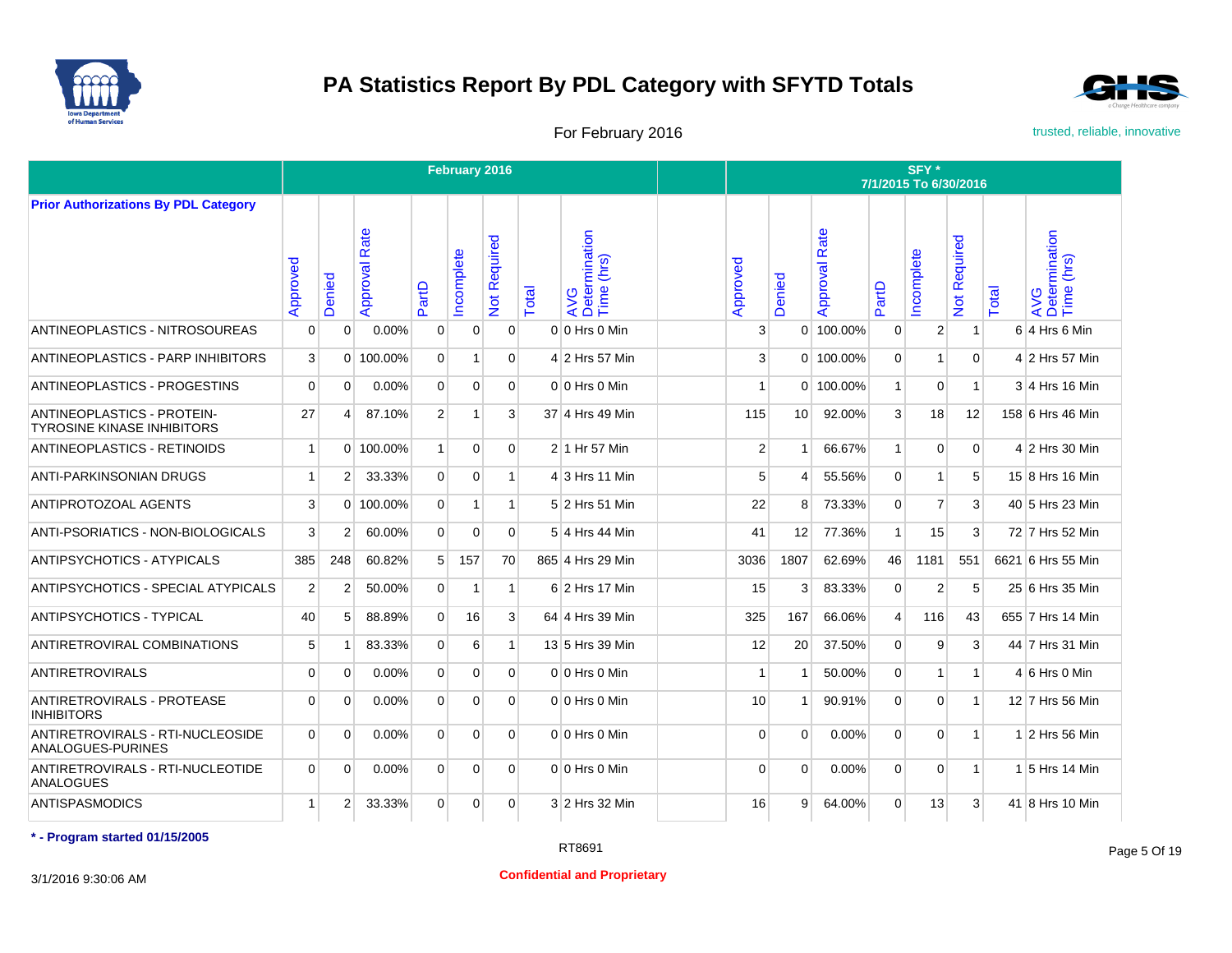



For February 2016 **For February 2016** trusted, reliable, innovative

|                                                                 |                |                |                  |                | February 2016  |                |       |                                    |                |                          |                      |                | SFY*<br>7/1/2015 To 6/30/2016 |                            |       |                                    |
|-----------------------------------------------------------------|----------------|----------------|------------------|----------------|----------------|----------------|-------|------------------------------------|----------------|--------------------------|----------------------|----------------|-------------------------------|----------------------------|-------|------------------------------------|
| <b>Prior Authorizations By PDL Category</b>                     |                |                |                  |                |                |                |       |                                    |                |                          |                      |                |                               |                            |       |                                    |
|                                                                 | Approved       | Denied         | Rate<br>Approval | PartD          | ncomplete      | Not Required   | Total | AVG<br>Determination<br>Time (hrs) | Approved       | Denied                   | <b>Approval Rate</b> | PartD          | ncomplete                     | Required<br>$\overline{5}$ | Total | AVG<br>Determination<br>Time (hrs) |
| ANTINEOPLASTICS - NITROSOUREAS                                  | 0              | $\Omega$       | 0.00%            | $\overline{0}$ | $\overline{0}$ | $\Omega$       |       | 0 0 Hrs 0 Min                      | 3              |                          | 0 100.00%            | $\mathbf 0$    | $\overline{2}$                | $\mathbf{1}$               |       | $6$ 4 Hrs 6 Min                    |
| <b>ANTINEOPLASTICS - PARP INHIBITORS</b>                        | 3              |                | 0 100.00%        | $\overline{0}$ | 1              | $\Omega$       |       | 4 2 Hrs 57 Min                     | 3              |                          | $0$   100.00%        | $\mathbf 0$    | 1                             | $\mathbf{0}$               |       | 4 2 Hrs 57 Min                     |
| ANTINEOPLASTICS - PROGESTINS                                    | $\overline{0}$ | $\Omega$       | 0.00%            | $\Omega$       | $\overline{0}$ | $\Omega$       |       | 0 0 Hrs 0 Min                      | $\overline{1}$ |                          | $0$ 100.00%          | $\mathbf{1}$   | $\mathbf 0$                   | $\mathbf{1}$               |       | 3 4 Hrs 16 Min                     |
| ANTINEOPLASTICS - PROTEIN-<br><b>TYROSINE KINASE INHIBITORS</b> | 27             | 4              | 87.10%           | $\overline{2}$ | $\mathbf{1}$   | 3              |       | 37 4 Hrs 49 Min                    | 115            | 10 <sup>1</sup>          | 92.00%               | 3              | 18                            | 12                         |       | 158 6 Hrs 46 Min                   |
| <b>ANTINEOPLASTICS - RETINOIDS</b>                              | $\mathbf{1}$   |                | 0 100.00%        | 1              | $\Omega$       | $\Omega$       |       | 2 1 Hr 57 Min                      | $\overline{2}$ | 1                        | 66.67%               | $\mathbf{1}$   | $\Omega$                      | $\Omega$                   |       | 4 2 Hrs 30 Min                     |
| <b>ANTI-PARKINSONIAN DRUGS</b>                                  | $\mathbf{1}$   | $\overline{2}$ | 33.33%           | $\Omega$       | $\Omega$       | $\mathbf{1}$   |       | 4 3 Hrs 11 Min                     | 5              | 4                        | 55.56%               | $\Omega$       | $\mathbf{1}$                  | 5                          |       | 15 8 Hrs 16 Min                    |
| ANTIPROTOZOAL AGENTS                                            | 3              |                | 0 100.00%        | $\Omega$       | $\mathbf{1}$   | 1              |       | 5 2 Hrs 51 Min                     | 22             | 8                        | 73.33%               | $\Omega$       | $\overline{7}$                | 3                          |       | 40 5 Hrs 23 Min                    |
| ANTI-PSORIATICS - NON-BIOLOGICALS                               | $\mathbf{3}$   | $\overline{2}$ | 60.00%           | $\Omega$       | 0              | $\Omega$       |       | 5 4 Hrs 44 Min                     | 41             | 12                       | 77.36%               | $\mathbf{1}$   | 15                            | 3                          |       | 72 7 Hrs 52 Min                    |
| <b>ANTIPSYCHOTICS - ATYPICALS</b>                               | 385            | 248            | 60.82%           | 5 <sup>1</sup> | 157            | 70             |       | 865 4 Hrs 29 Min                   | 3036           | 1807                     | 62.69%               | 46             | 1181                          | 551                        |       | 6621 6 Hrs 55 Min                  |
| ANTIPSYCHOTICS - SPECIAL ATYPICALS                              | $\overline{2}$ | $\overline{2}$ | 50.00%           | $\overline{0}$ | $\mathbf{1}$   | $\mathbf{1}$   |       | 6 2 Hrs 17 Min                     | 15             | 3                        | 83.33%               | $\overline{0}$ | $\overline{2}$                | 5                          |       | 25 6 Hrs 35 Min                    |
| <b>ANTIPSYCHOTICS - TYPICAL</b>                                 | 40             | 5              | 88.89%           | $\overline{0}$ | 16             | 3 <sup>1</sup> |       | 64 4 Hrs 39 Min                    | 325            | 167                      | 66.06%               | $\vert$        | 116                           | 43                         |       | 655 7 Hrs 14 Min                   |
| ANTIRETROVIRAL COMBINATIONS                                     | 5              | 1              | 83.33%           | $\Omega$       | 6              | 1              |       | 13 5 Hrs 39 Min                    | 12             | 20                       | 37.50%               | $\Omega$       | 9                             | 3                          |       | 44 7 Hrs 31 Min                    |
| <b>ANTIRETROVIRALS</b>                                          | $\Omega$       | 0              | $0.00\%$         | $\Omega$       | $\Omega$       | $\Omega$       |       | 0 0 Hrs 0 Min                      |                | $\overline{\phantom{a}}$ | 50.00%               | $\Omega$       | 1                             | $\mathbf{1}$               |       | $4 6$ Hrs 0 Min                    |
| ANTIRETROVIRALS - PROTEASE<br><b>INHIBITORS</b>                 | $\Omega$       | $\Omega$       | 0.00%            | $\Omega$       | $\Omega$       | $\Omega$       |       | 0 0 Hrs 0 Min                      | 10             |                          | 90.91%               | $\Omega$       | $\Omega$                      | $\overline{1}$             |       | 12 7 Hrs 56 Min                    |
| ANTIRETROVIRALS - RTI-NUCLEOSIDE<br>ANALOGUES-PURINES           | $\Omega$       | $\Omega$       | 0.00%            | $\Omega$       | $\Omega$       | $\Omega$       |       | 0 0 Hrs 0 Min                      | $\Omega$       | $\Omega$                 | 0.00%                | $\Omega$       | $\Omega$                      | $\mathbf{1}$               |       | 1 2 Hrs 56 Min                     |
| ANTIRETROVIRALS - RTI-NUCLEOTIDE<br><b>ANALOGUES</b>            | $\Omega$       | $\Omega$       | 0.00%            | $\Omega$       | $\Omega$       | $\Omega$       |       | 0 0 Hrs 0 Min                      | $\Omega$       | $\Omega$                 | $0.00\%$             | $\Omega$       | $\Omega$                      | $\mathbf{1}$               |       | 1 5 Hrs 14 Min                     |
| <b>ANTISPASMODICS</b>                                           | 1 <sup>1</sup> | $\overline{2}$ | 33.33%           | $\overline{0}$ | $\overline{0}$ | $\Omega$       |       | 3 2 Hrs 32 Min                     | 16             | 9                        | 64.00%               | $\Omega$       | 13                            | 3                          |       | 41 8 Hrs 10 Min                    |

**\* - Program started 01/15/2005**

3/1/2016 9:30:06 AM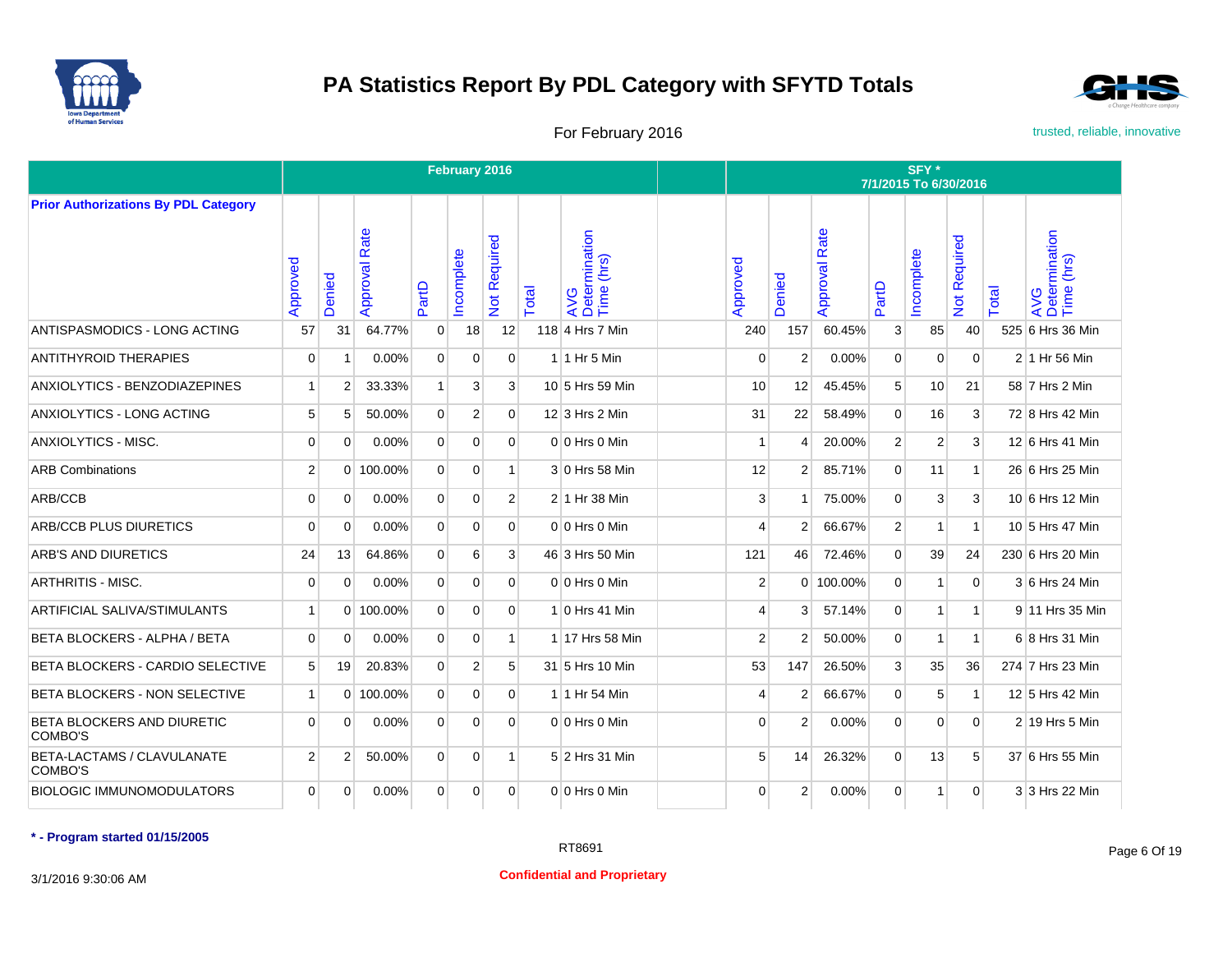



For February 2016 **For February 2016** trusted, reliable, innovative

|                                             |                |          |                  |                | February 2016  |                   |              |                                    |                |                |                      |                | SFY *<br>7/1/2015 To 6/30/2016 |                                                |              |                                    |
|---------------------------------------------|----------------|----------|------------------|----------------|----------------|-------------------|--------------|------------------------------------|----------------|----------------|----------------------|----------------|--------------------------------|------------------------------------------------|--------------|------------------------------------|
| <b>Prior Authorizations By PDL Category</b> |                |          |                  |                |                |                   |              |                                    |                |                |                      |                |                                |                                                |              |                                    |
|                                             | Approved       | Denied   | Rate<br>Approval | PartD          | ncomplete      | equired<br>Not Re | <b>Total</b> | AVG<br>Determination<br>Time (hrs) | Approved       | Denied         | <b>Approval Rate</b> | PartD          | ncomplete                      | equired<br>$\alpha$<br>$\overline{\mathsf{a}}$ | <b>Total</b> | AVG<br>Determination<br>Time (hrs) |
| ANTISPASMODICS - LONG ACTING                | 57             | 31       | 64.77%           | $\overline{0}$ | 18             | 12                |              | 118 4 Hrs 7 Min                    | 240            | 157            | 60.45%               | $\mathbf{3}$   | 85                             | 40                                             |              | 525 6 Hrs 36 Min                   |
| <b>ANTITHYROID THERAPIES</b>                | $\mathbf 0$    | í        | 0.00%            | $\overline{0}$ | $\Omega$       | $\Omega$          |              | $1$ 1 Hr 5 Min                     | $\Omega$       | $\overline{2}$ | 0.00%                | $\mathbf{0}$   | $\Omega$                       | $\mathbf{0}$                                   |              | 2 1 Hr 56 Min                      |
| ANXIOLYTICS - BENZODIAZEPINES               | $\mathbf{1}$   | 2        | 33.33%           | 1              | 3              | $\mathbf{3}$      |              | 10 5 Hrs 59 Min                    | 10             | 12             | 45.45%               | 5              | 10                             | 21                                             |              | 58 7 Hrs 2 Min                     |
| ANXIOLYTICS - LONG ACTING                   | 5              | 5        | 50.00%           | $\mathbf{0}$   | $\overline{2}$ | $\Omega$          |              | $12$ 3 Hrs 2 Min                   | 31             | 22             | 58.49%               | $\mathbf{0}$   | 16                             | 3                                              |              | 72 8 Hrs 42 Min                    |
| <b>ANXIOLYTICS - MISC.</b>                  | $\Omega$       | $\Omega$ | 0.00%            | $\overline{0}$ | $\Omega$       | $\Omega$          |              | $0 0$ Hrs $0$ Min                  |                | 4              | 20.00%               | $\overline{2}$ | 2                              | 3                                              |              | 12 6 Hrs 41 Min                    |
| <b>ARB Combinations</b>                     | 2              |          | 0 100.00%        | $\Omega$       | $\Omega$       | 1                 |              | 3 0 Hrs 58 Min                     | 12             | $\overline{2}$ | 85.71%               | $\Omega$       | 11                             | $\mathbf{1}$                                   |              | 26 6 Hrs 25 Min                    |
| ARB/CCB                                     | $\Omega$       | $\Omega$ | 0.00%            | $\Omega$       | $\Omega$       | $\overline{2}$    |              | 2 1 Hr 38 Min                      | 3              | $\overline{ }$ | 75.00%               | $\Omega$       | 3                              | 3                                              |              | 10 6 Hrs 12 Min                    |
| <b>ARB/CCB PLUS DIURETICS</b>               | $\Omega$       | $\Omega$ | 0.00%            | $\Omega$       | $\Omega$       | $\Omega$          |              | $0 0$ Hrs $0$ Min                  | 4              | $\overline{2}$ | 66.67%               | 2              | 1                              | $\mathbf{1}$                                   |              | 10 5 Hrs 47 Min                    |
| ARB'S AND DIURETICS                         | 24             | 13       | 64.86%           | $\overline{0}$ | 6              | $\overline{3}$    |              | 46 3 Hrs 50 Min                    | 121            | 46             | 72.46%               | $\overline{0}$ | 39                             | 24                                             |              | 230 6 Hrs 20 Min                   |
| <b>ARTHRITIS - MISC.</b>                    | $\overline{0}$ | $\Omega$ | 0.00%            | $\Omega$       | $\Omega$       | $\Omega$          |              | $0 0$ Hrs $0$ Min                  | 2              |                | 0 100.00%            | $\Omega$       | 1                              | $\mathbf{0}$                                   |              | 3 6 Hrs 24 Min                     |
| <b>ARTIFICIAL SALIVA/STIMULANTS</b>         | $\mathbf{1}$   | $\Omega$ | 100.00%          | $\overline{0}$ | 0              | $\Omega$          |              | 1 0 Hrs 41 Min                     | $\overline{4}$ | 3              | 57.14%               | $\overline{0}$ | 1                              | $\mathbf{1}$                                   |              | 9 11 Hrs 35 Min                    |
| BETA BLOCKERS - ALPHA / BETA                | $\Omega$       | $\Omega$ | 0.00%            | $\Omega$       | $\Omega$       | $\mathbf{1}$      |              | 1 17 Hrs 58 Min                    | 2              | 2              | 50.00%               | $\Omega$       | $\mathbf{1}$                   | $\mathbf{1}$                                   |              | 6 8 Hrs 31 Min                     |
| <b>BETA BLOCKERS - CARDIO SELECTIVE</b>     | 5              | 19       | 20.83%           | $\overline{0}$ | 2              | 5                 |              | 31 5 Hrs 10 Min                    | 53             | 147            | 26.50%               | $\mathbf{3}$   | 35                             | 36                                             |              | 274 7 Hrs 23 Min                   |
| BETA BLOCKERS - NON SELECTIVE               | $\mathbf{1}$   |          | 0 100.00%        | $\overline{0}$ | $\mathbf 0$    | $\overline{0}$    |              | 1 1 Hr 54 Min                      | $\overline{4}$ | 2              | 66.67%               | $\overline{0}$ | 5                              | $\mathbf{1}$                                   |              | 12 5 Hrs 42 Min                    |
| BETA BLOCKERS AND DIURETIC<br>COMBO'S       | $\Omega$       | $\Omega$ | 0.00%            | $\Omega$       | $\Omega$       | $\Omega$          |              | 0 0 Hrs 0 Min                      | $\Omega$       | $\overline{2}$ | 0.00%                | $\Omega$       | $\Omega$                       | $\Omega$                                       |              | $2 19$ Hrs 5 Min                   |
| BETA-LACTAMS / CLAVULANATE<br>COMBO'S       | $\overline{2}$ | 2        | 50.00%           | $\overline{0}$ | $\Omega$       | $\mathbf{1}$      |              | 5 2 Hrs 31 Min                     | 5              | 14             | 26.32%               | $\Omega$       | 13                             | 5                                              |              | 37 6 Hrs 55 Min                    |
| <b>BIOLOGIC IMMUNOMODULATORS</b>            | $\Omega$       | $\Omega$ | 0.00%            | $\Omega$       | $\Omega$       | $\Omega$          |              | $0 0$ Hrs $0$ Min                  | $\Omega$       | 2              | 0.00%                | $\Omega$       | 1 <sup>1</sup>                 | $\Omega$                                       |              | 3 3 Hrs 22 Min                     |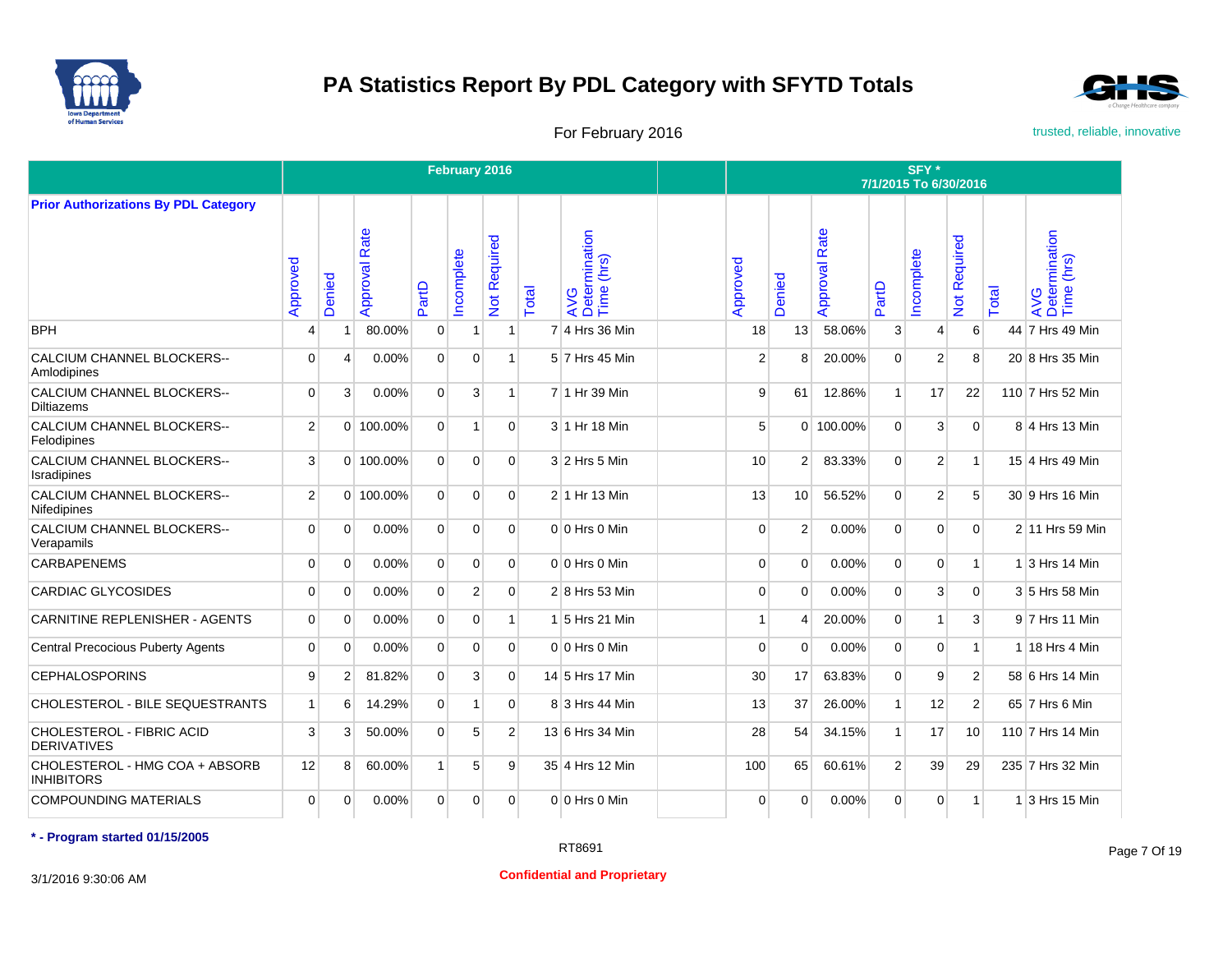



For February 2016 **For February 2016** trusted, reliable, innovative

|                                                     |                |                       |                  |                | February 2016  |                     |       |                                    |                         |                       |                      |                | SFY*<br>7/1/2015 To 6/30/2016 |                |              |                                    |
|-----------------------------------------------------|----------------|-----------------------|------------------|----------------|----------------|---------------------|-------|------------------------------------|-------------------------|-----------------------|----------------------|----------------|-------------------------------|----------------|--------------|------------------------------------|
| <b>Prior Authorizations By PDL Category</b>         |                |                       |                  |                |                |                     |       |                                    |                         |                       |                      |                |                               |                |              |                                    |
|                                                     | Approved       | Denied                | Rate<br>Approval | PartD          | ncomplete      | <b>Not Required</b> | Total | AVG<br>Determination<br>Time (hrs) | Approved                | Denied                | <b>Approval Rate</b> | PartD          | ncomplete                     | Not Required   | <b>Total</b> | AVG<br>Determination<br>Time (hrs) |
| <b>BPH</b>                                          | 4              | $\overline{1}$        | 80.00%           | $\mathbf{0}$   | $\mathbf{1}$   | 1                   |       | 7 4 Hrs 36 Min                     | 18                      | 13                    | 58.06%               | $\overline{3}$ | 4                             | 6              |              | 44 7 Hrs 49 Min                    |
| CALCIUM CHANNEL BLOCKERS--<br>Amlodipines           | $\mathbf 0$    | $\boldsymbol{\Delta}$ | 0.00%            | $\overline{0}$ | $\Omega$       | 1                   |       | 5 7 Hrs 45 Min                     | $\overline{2}$          | 8                     | 20.00%               | $\Omega$       | $\overline{2}$                | 8              |              | 20 8 Hrs 35 Min                    |
| CALCIUM CHANNEL BLOCKERS--<br><b>Diltiazems</b>     | $\mathbf 0$    | 3                     | 0.00%            | $\overline{0}$ | 3              | 1                   |       | 7 1 Hr 39 Min                      | 9                       | 61                    | 12.86%               | 1              | 17                            | 22             |              | 110 7 Hrs 52 Min                   |
| <b>CALCIUM CHANNEL BLOCKERS--</b><br>Felodipines    | $\overline{2}$ | $\Omega$              | 100.00%          | $\Omega$       | $\mathbf{1}$   | $\Omega$            |       | 3 1 Hr 18 Min                      | 5                       | $\overline{0}$        | 100.00%              | $\Omega$       | 3                             | $\Omega$       |              | 8 4 Hrs 13 Min                     |
| CALCIUM CHANNEL BLOCKERS--<br>Isradipines           | 3              | $\Omega$              | 100.00%          | $\Omega$       | $\Omega$       | $\Omega$            |       | $3$ 2 Hrs 5 Min                    | 10                      | $\overline{2}$        | 83.33%               | $\Omega$       | $\overline{2}$                | $\mathbf{1}$   |              | 15 4 Hrs 49 Min                    |
| CALCIUM CHANNEL BLOCKERS--<br>Nifedipines           | 2              | $\Omega$              | 100.00%          | $\overline{0}$ | $\Omega$       | $\Omega$            |       | 2 1 Hr 13 Min                      | 13                      | 10                    | 56.52%               | $\Omega$       | $\overline{2}$                | 5              |              | 30 9 Hrs 16 Min                    |
| CALCIUM CHANNEL BLOCKERS--<br>Verapamils            | $\mathbf 0$    | $\Omega$              | 0.00%            | $\overline{0}$ | $\Omega$       | $\Omega$            |       | 0 0 Hrs 0 Min                      | $\mathbf 0$             | $\overline{2}$        | 0.00%                | $\Omega$       | $\Omega$                      | $\Omega$       |              | 2 11 Hrs 59 Min                    |
| <b>CARBAPENEMS</b>                                  | $\Omega$       | $\mathbf 0$           | 0.00%            | $\Omega$       | $\Omega$       | $\Omega$            |       | $0 0$ Hrs 0 Min                    | $\Omega$                | $\Omega$              | 0.00%                | $\Omega$       | $\Omega$                      | $\mathbf{1}$   |              | $1$ 3 Hrs 14 Min                   |
| <b>CARDIAC GLYCOSIDES</b>                           | $\Omega$       | $\Omega$              | 0.00%            | $\overline{0}$ | $\overline{2}$ | $\Omega$            |       | 2 8 Hrs 53 Min                     | $\Omega$                | $\Omega$              | 0.00%                | $\Omega$       | 3                             | $\Omega$       |              | 3 5 Hrs 58 Min                     |
| <b>CARNITINE REPLENISHER - AGENTS</b>               | $\mathbf 0$    | $\Omega$              | 0.00%            | $\Omega$       | $\Omega$       | 1                   |       | 1 5 Hrs 21 Min                     | $\overline{\mathbf{1}}$ | $\boldsymbol{\Delta}$ | 20.00%               | $\Omega$       | ٠                             | 3              |              | 9 7 Hrs 11 Min                     |
| <b>Central Precocious Puberty Agents</b>            | $\mathbf 0$    | $\Omega$              | 0.00%            | $\Omega$       | $\Omega$       | $\Omega$            |       | $0 0$ Hrs 0 Min                    | $\Omega$                | $\Omega$              | 0.00%                | $\Omega$       | $\Omega$                      | $\mathbf{1}$   |              | $1$ 18 Hrs 4 Min                   |
| <b>CEPHALOSPORINS</b>                               | 9              | $\overline{2}$        | 81.82%           | $\overline{0}$ | 3              | $\Omega$            |       | 14 5 Hrs 17 Min                    | 30                      | 17                    | 63.83%               | $\Omega$       | 9                             | $\overline{2}$ |              | 58 6 Hrs 14 Min                    |
| CHOLESTEROL - BILE SEQUESTRANTS                     | $\mathbf{1}$   | 6                     | 14.29%           | $\overline{0}$ | $\mathbf{1}$   | $\Omega$            |       | 8 3 Hrs 44 Min                     | 13                      | 37                    | 26.00%               | $\mathbf{1}$   | 12                            | $\overline{2}$ |              | 65 7 Hrs 6 Min                     |
| CHOLESTEROL - FIBRIC ACID<br><b>DERIVATIVES</b>     | 3              | 3                     | 50.00%           | $\Omega$       | 5              | $\overline{2}$      |       | 13 6 Hrs 34 Min                    | 28                      | 54                    | 34.15%               | $\mathbf{1}$   | 17                            | 10             |              | 110 7 Hrs 14 Min                   |
| CHOLESTEROL - HMG COA + ABSORB<br><b>INHIBITORS</b> | 12             | 8                     | 60.00%           | $\mathbf{1}$   | 5              | 9                   |       | 35 4 Hrs 12 Min                    | 100                     | 65                    | 60.61%               | 2 <sup>1</sup> | 39                            | 29             |              | 235 7 Hrs 32 Min                   |
| <b>COMPOUNDING MATERIALS</b>                        | $\Omega$       | $\Omega$              | 0.00%            | $\overline{0}$ | $\Omega$       | $\Omega$            |       | 0 0 Hrs 0 Min                      | $\Omega$                | $\Omega$              | 0.00%                | $\Omega$       | $\Omega$                      | $\overline{1}$ |              | $1$ 3 Hrs 15 Min                   |

### **\* - Program started 01/15/2005**

3/1/2016 9:30:06 AM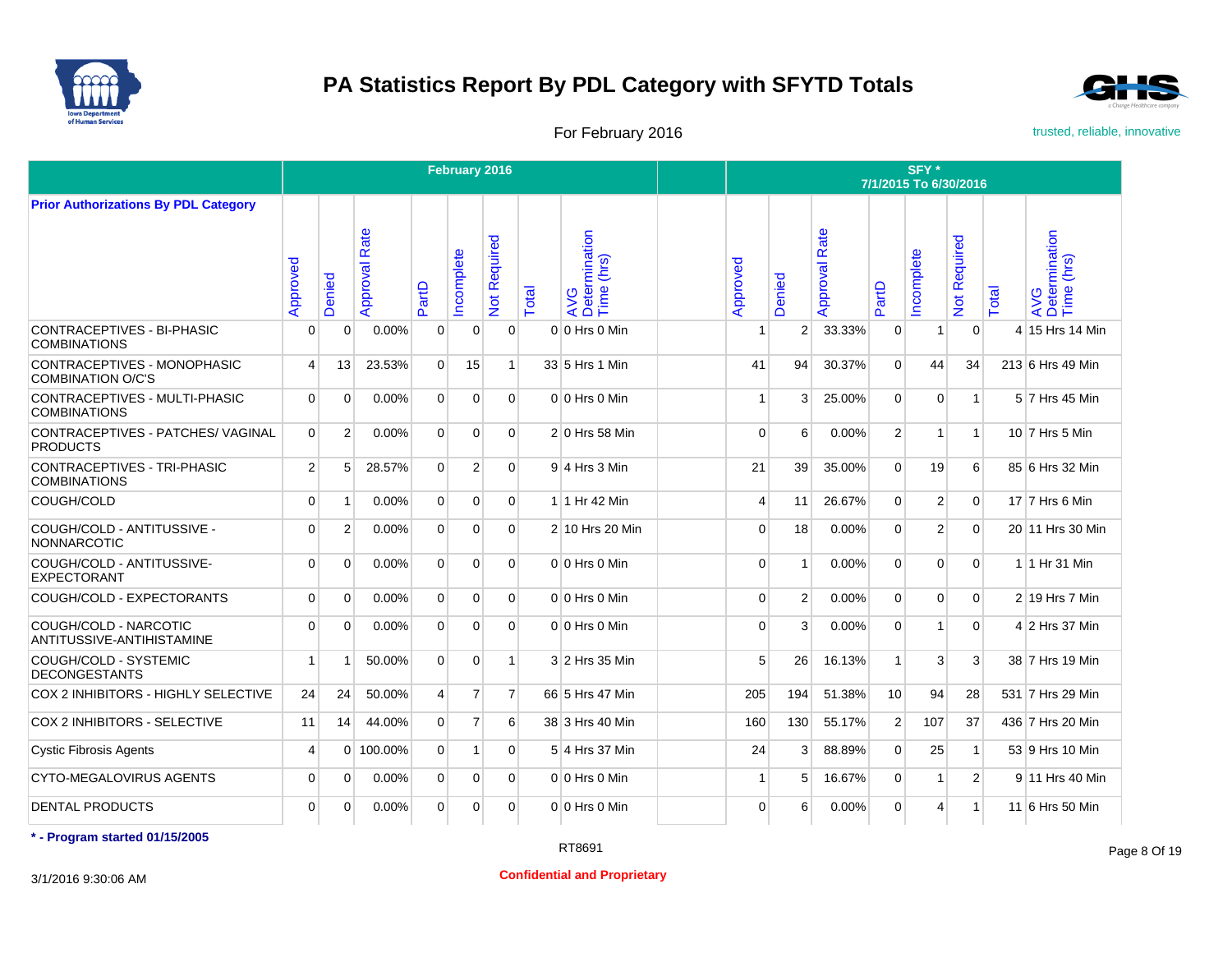



For February 2016 **For February 2016** trusted, reliable, innovative

|                                                         |                |                |                  |                | February 2016  |                |       |                                    |          |                |                      |                | SFY*<br>7/1/2015 To 6/30/2016 |                           |       |                                    |
|---------------------------------------------------------|----------------|----------------|------------------|----------------|----------------|----------------|-------|------------------------------------|----------|----------------|----------------------|----------------|-------------------------------|---------------------------|-------|------------------------------------|
| <b>Prior Authorizations By PDL Category</b>             |                |                |                  |                |                |                |       |                                    |          |                |                      |                |                               |                           |       |                                    |
|                                                         | Approved       | Denied         | Rate<br>Approval | PartD          | ncomplete      | Not Required   | Total | AVG<br>Determination<br>Time (hrs) | Approved | Denied         | <b>Approval Rate</b> | PartD          | ncomplete                     | Required<br>$\frac{5}{2}$ | Total | AVG<br>Determination<br>Time (hrs) |
| CONTRACEPTIVES - BI-PHASIC<br><b>COMBINATIONS</b>       | 0              | $\mathbf 0$    | 0.00%            | $\mathbf 0$    | $\mathbf{0}$   | $\mathbf 0$    |       | $0 0$ Hrs $0$ Min                  |          | $\overline{2}$ | 33.33%               | $\mathbf{0}$   | 1                             | $\mathbf{0}$              |       | 4 15 Hrs 14 Min                    |
| CONTRACEPTIVES - MONOPHASIC<br><b>COMBINATION O/C'S</b> | 4              | 13             | 23.53%           | $\Omega$       | 15             | -1             |       | 33 5 Hrs 1 Min                     | 41       | 94             | 30.37%               | $\Omega$       | 44                            | 34                        |       | 213 6 Hrs 49 Min                   |
| CONTRACEPTIVES - MULTI-PHASIC<br><b>COMBINATIONS</b>    | $\Omega$       | $\Omega$       | 0.00%            | $\Omega$       | $\Omega$       | $\Omega$       |       | $0 0$ Hrs $0$ Min                  |          | 3              | 25.00%               | $\Omega$       | $\Omega$                      | $\overline{1}$            |       | 5 7 Hrs 45 Min                     |
| CONTRACEPTIVES - PATCHES/ VAGINAL<br><b>PRODUCTS</b>    | $\Omega$       | $\overline{2}$ | 0.00%            | $\Omega$       | $\Omega$       | $\Omega$       |       | $2 0$ Hrs 58 Min                   | $\Omega$ | 6              | 0.00%                | 2              | 1                             | $\mathbf{1}$              |       | 10 7 Hrs 5 Min                     |
| CONTRACEPTIVES - TRI-PHASIC<br><b>COMBINATIONS</b>      | $\overline{2}$ | 5              | 28.57%           | $\Omega$       | $\overline{2}$ | $\Omega$       |       | 9 4 Hrs 3 Min                      | 21       | 39             | 35.00%               | $\Omega$       | 19                            | 6                         |       | 85 6 Hrs 32 Min                    |
| COUGH/COLD                                              | $\Omega$       | $\overline{1}$ | 0.00%            | $\overline{0}$ | $\mathbf{0}$   | $\overline{0}$ |       | 1 1 Hr 42 Min                      | 4        | 11             | 26.67%               | $\overline{0}$ | 2                             | $\mathbf{0}$              |       | 17 7 Hrs 6 Min                     |
| COUGH/COLD - ANTITUSSIVE -<br><b>NONNARCOTIC</b>        | $\Omega$       | $\overline{2}$ | 0.00%            | $\overline{0}$ | $\Omega$       | $\Omega$       |       | 2 10 Hrs 20 Min                    | $\Omega$ | 18             | 0.00%                | $\Omega$       | $\overline{2}$                | $\Omega$                  |       | 20 11 Hrs 30 Min                   |
| COUGH/COLD - ANTITUSSIVE-<br>EXPECTORANT                | $\Omega$       | $\Omega$       | 0.00%            | $\Omega$       | $\Omega$       | $\Omega$       |       | $0 0$ Hrs $0$ Min                  | $\Omega$ | -1             | 0.00%                | $\Omega$       | $\Omega$                      | $\Omega$                  |       | 1 1 Hr 31 Min                      |
| COUGH/COLD - EXPECTORANTS                               | $\Omega$       | $\Omega$       | 0.00%            | $\overline{0}$ | $\Omega$       | $\Omega$       |       | $0 0$ Hrs $0$ Min                  | $\Omega$ | 2              | 0.00%                | $\Omega$       | $\Omega$                      | $\Omega$                  |       | $2 19$ Hrs 7 Min                   |
| COUGH/COLD - NARCOTIC<br>ANTITUSSIVE-ANTIHISTAMINE      | $\Omega$       | $\Omega$       | 0.00%            | $\overline{0}$ | 0              | $\Omega$       |       | $0 0$ Hrs $0$ Min                  | $\Omega$ | 3              | 0.00%                | $\mathbf{0}$   | 1                             | $\mathbf{0}$              |       | 4 2 Hrs 37 Min                     |
| COUGH/COLD - SYSTEMIC<br><b>DECONGESTANTS</b>           | 1              | -1             | 50.00%           | $\overline{0}$ | $\overline{0}$ | 1              |       | 3 2 Hrs 35 Min                     | 5        | 26             | 16.13%               | $\mathbf{1}$   | 3                             | 3                         |       | 38 7 Hrs 19 Min                    |
| COX 2 INHIBITORS - HIGHLY SELECTIVE                     | 24             | 24             | 50.00%           | $\overline{4}$ | $\overline{7}$ | $\overline{7}$ |       | 66 5 Hrs 47 Min                    | 205      | 194            | 51.38%               | 10             | 94                            | 28                        |       | 531 7 Hrs 29 Min                   |
| COX 2 INHIBITORS - SELECTIVE                            | 11             | 14             | 44.00%           | $\overline{0}$ | $\overline{7}$ | 6              |       | 38 3 Hrs 40 Min                    | 160      | 130            | 55.17%               | $\overline{2}$ | 107                           | 37                        |       | 436 7 Hrs 20 Min                   |
| <b>Cystic Fibrosis Agents</b>                           | $\overline{4}$ | $\overline{0}$ | 100.00%          | $\overline{0}$ | $-1$           | $\overline{0}$ |       | 5 4 Hrs 37 Min                     | 24       | 3              | 88.89%               | $\overline{0}$ | 25                            | $\mathbf{1}$              |       | 53 9 Hrs 10 Min                    |
| <b>CYTO-MEGALOVIRUS AGENTS</b>                          | $\Omega$       | $\mathbf 0$    | 0.00%            | $\overline{0}$ | $\overline{0}$ | $\Omega$       |       | $0 0$ Hrs $0$ Min                  | 1        | 5              | 16.67%               | $\mathbf{0}$   | 1                             | $\overline{2}$            |       | 9 11 Hrs 40 Min                    |
| <b>DENTAL PRODUCTS</b>                                  | $\Omega$       | $\Omega$       | 0.00%            | $\overline{0}$ | $\Omega$       | $\Omega$       |       | $0 0$ Hrs $0$ Min                  | $\Omega$ | 6              | 0.00%                | $\Omega$       | 4                             | $\mathbf{1}$              |       | 11 6 Hrs 50 Min                    |

**\* - Program started 01/15/2005**

3/1/2016 9:30:06 AM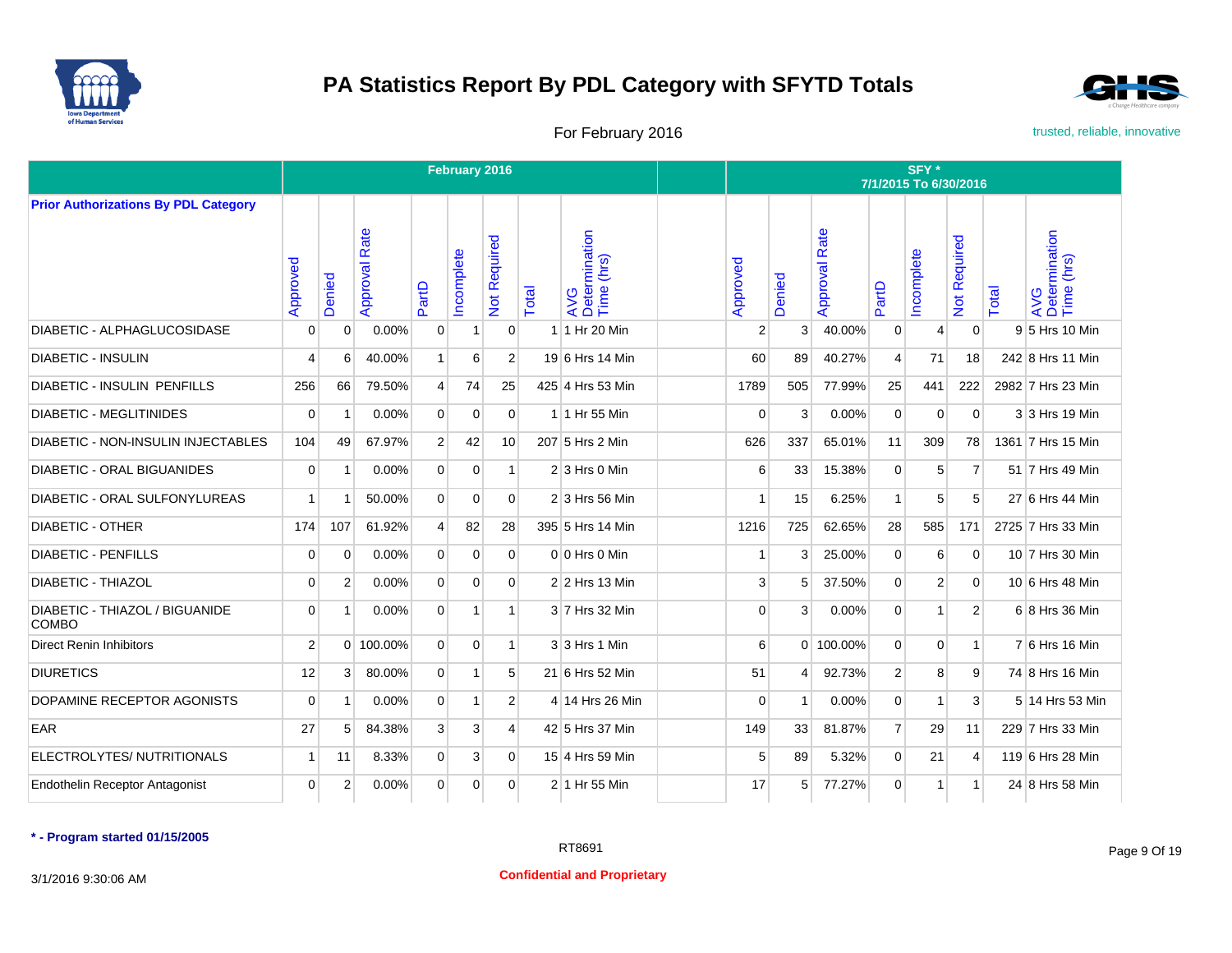



For February 2016 **For February 2016** trusted, reliable, innovative

|                                                |                |                |                      |                | February 2016  |                     |       |                                             |                |              |                      |                | SFY *<br>7/1/2015 To 6/30/2016 |                     |       |                                    |
|------------------------------------------------|----------------|----------------|----------------------|----------------|----------------|---------------------|-------|---------------------------------------------|----------------|--------------|----------------------|----------------|--------------------------------|---------------------|-------|------------------------------------|
| <b>Prior Authorizations By PDL Category</b>    |                |                |                      |                |                |                     |       |                                             |                |              |                      |                |                                |                     |       |                                    |
|                                                | Approved       | Denied         | <b>Approval Rate</b> | PartD          | Incomplete     | <b>Not Required</b> | Total | AVG<br>Determination<br>Time (hrs)<br>(hrs) | Approved       | Denied       | <b>Approval Rate</b> | PartD          | Incomplete                     | <b>Vot Required</b> | Total | AVG<br>Determination<br>Time (hrs) |
| <b>DIABETIC - ALPHAGLUCOSIDASE</b>             | $\mathbf 0$    | 0              | 0.00%                | $\mathbf 0$    | $\mathbf{1}$   | $\overline{0}$      |       | 1 1 Hr 20 Min                               | $\overline{2}$ | $\mathbf{3}$ | 40.00%               | $\mathbf 0$    | 4                              | $\mathbf 0$         |       | 9 5 Hrs 10 Min                     |
| <b>DIABETIC - INSULIN</b>                      | $\overline{4}$ | 6              | 40.00%               | $\mathbf{1}$   | 6              | $\overline{2}$      |       | 19 6 Hrs 14 Min                             | 60             | 89           | 40.27%               | $\overline{4}$ | 71                             | 18                  |       | 242 8 Hrs 11 Min                   |
| <b>DIABETIC - INSULIN PENFILLS</b>             | 256            | 66             | 79.50%               | $\overline{4}$ | 74             | 25                  |       | 425 4 Hrs 53 Min                            | 1789           | 505          | 77.99%               | 25             | 441                            | 222                 |       | 2982 7 Hrs 23 Min                  |
| <b>DIABETIC - MEGLITINIDES</b>                 | $\mathbf 0$    |                | 0.00%                | $\overline{0}$ | $\mathbf 0$    | $\overline{0}$      |       | 1 1 Hr 55 Min                               | $\overline{0}$ | 3            | 0.00%                | $\mathbf 0$    | $\mathbf 0$                    | $\mathbf 0$         |       | 3 3 Hrs 19 Min                     |
| <b>DIABETIC - NON-INSULIN INJECTABLES</b>      | 104            | 49             | 67.97%               | $\overline{2}$ | 42             | 10                  |       | 207 5 Hrs 2 Min                             | 626            | 337          | 65.01%               | 11             | 309                            | 78                  |       | 1361 7 Hrs 15 Min                  |
| <b>DIABETIC - ORAL BIGUANIDES</b>              | $\mathbf 0$    |                | 0.00%                | $\Omega$       | $\Omega$       | 1                   |       | $2 \times$ 3 Hrs 0 Min                      | 6              | 33           | 15.38%               | $\Omega$       | 5                              | $\overline{7}$      |       | 51 7 Hrs 49 Min                    |
| DIABETIC - ORAL SULFONYLUREAS                  | 1              |                | 50.00%               | $\mathbf{0}$   | $\mathbf 0$    | $\Omega$            |       | 2 3 Hrs 56 Min                              | 1              | 15           | 6.25%                | $\mathbf{1}$   | 5                              | 5                   |       | 27 6 Hrs 44 Min                    |
| <b>DIABETIC - OTHER</b>                        | 174            | 107            | 61.92%               | $\overline{4}$ | 82             | 28                  |       | 395 5 Hrs 14 Min                            | 1216           | 725          | 62.65%               | 28             | 585                            | 171                 |       | 2725 7 Hrs 33 Min                  |
| <b>DIABETIC - PENFILLS</b>                     | $\mathbf 0$    | $\Omega$       | 0.00%                | $\mathbf{0}$   | $\Omega$       | $\Omega$            |       | $0 0$ Hrs $0$ Min                           | 1              | 3            | 25.00%               | $\Omega$       | 6                              | $\Omega$            |       | 10 7 Hrs 30 Min                    |
| <b>DIABETIC - THIAZOL</b>                      | $\Omega$       | 2              | 0.00%                | $\Omega$       | $\Omega$       | $\Omega$            |       | 2 2 Hrs 13 Min                              | 3              | 5            | 37.50%               | $\Omega$       | 2                              | $\Omega$            |       | 10 6 Hrs 48 Min                    |
| DIABETIC - THIAZOL / BIGUANIDE<br><b>COMBO</b> | $\mathbf 0$    |                | 0.00%                | $\mathbf{0}$   | 1              | $\mathbf{1}$        |       | 3 7 Hrs 32 Min                              | 0              | 3            | 0.00%                | $\mathbf 0$    | $\mathbf{1}$                   | $\overline{2}$      |       | 6 8 Hrs 36 Min                     |
| <b>Direct Renin Inhibitors</b>                 | $\overline{2}$ | $\overline{0}$ | 100.00%              | $\overline{0}$ | $\mathbf 0$    | $\mathbf{1}$        |       | 3 3 Hrs 1 Min                               | 6              |              | 0 100.00%            | $\mathbf 0$    | 0                              | $\mathbf{1}$        |       | 7 6 Hrs 16 Min                     |
| <b>DIURETICS</b>                               | 12             | 3              | 80.00%               | $\overline{0}$ | $\mathbf{1}$   | 5                   |       | 21 6 Hrs 52 Min                             | 51             | $\vert$      | 92.73%               | $\overline{2}$ | 8                              | 9                   |       | 74 8 Hrs 16 Min                    |
| DOPAMINE RECEPTOR AGONISTS                     | $\mathbf 0$    | -1             | 0.00%                | $\mathbf{0}$   | $\mathbf{1}$   | $\overline{2}$      |       | 4 14 Hrs 26 Min                             | 0              | $\mathbf 1$  | 0.00%                | $\mathbf 0$    | $\mathbf{1}$                   | 3                   |       | 5 14 Hrs 53 Min                    |
| EAR                                            | 27             | 5              | 84.38%               | 3              | $\mathbf{3}$   | $\overline{4}$      |       | 42 5 Hrs 37 Min                             | 149            | 33           | 81.87%               | $\overline{7}$ | 29                             | 11                  |       | 229 7 Hrs 33 Min                   |
| ELECTROLYTES/ NUTRITIONALS                     | $\mathbf{1}$   | 11             | 8.33%                | $\mathbf 0$    | 3 <sup>1</sup> | $\overline{0}$      |       | 15 4 Hrs 59 Min                             | 5              | 89           | 5.32%                | $\mathbf 0$    | 21                             | $\overline{4}$      |       | 119 6 Hrs 28 Min                   |
| <b>Endothelin Receptor Antagonist</b>          | $\mathbf 0$    | 2              | 0.00%                | $\mathbf{0}$   | $\mathbf 0$    | $\overline{0}$      |       | 2 1 Hr 55 Min                               | 17             | 5            | 77.27%               | $\mathbf 0$    | $\mathbf{1}$                   | $\mathbf{1}$        |       | 24 8 Hrs 58 Min                    |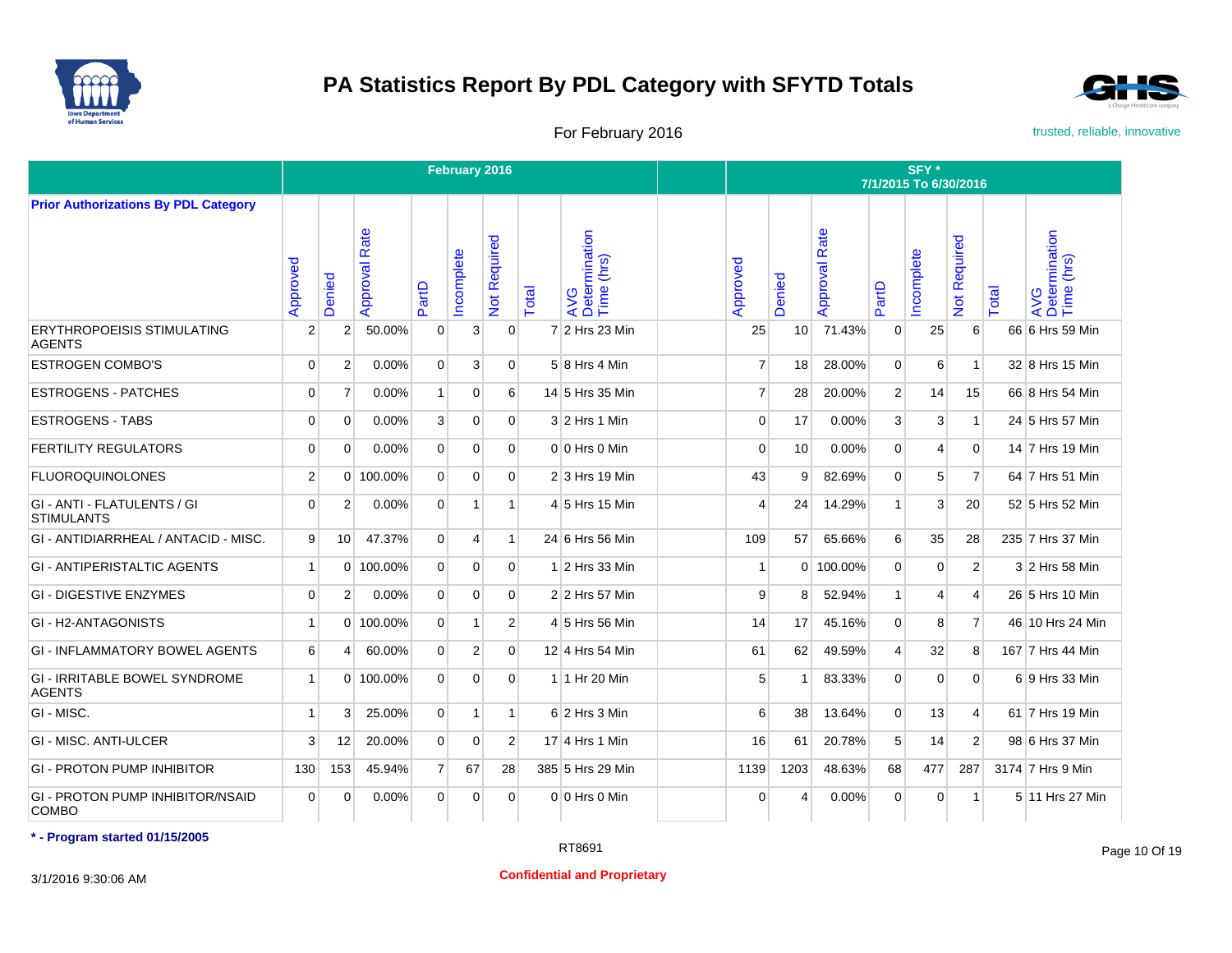



For February 2016 **For February 2016** trusted, reliable, innovative

|                                                         |                |                |                      |                | February 2016  |                  |       |                                    |                  |                 |                      |                | SFY*<br>7/1/2015 To 6/30/2016 |                     |       |                                    |
|---------------------------------------------------------|----------------|----------------|----------------------|----------------|----------------|------------------|-------|------------------------------------|------------------|-----------------|----------------------|----------------|-------------------------------|---------------------|-------|------------------------------------|
| <b>Prior Authorizations By PDL Category</b>             |                |                |                      |                |                |                  |       |                                    |                  |                 |                      |                |                               |                     |       |                                    |
|                                                         | Approved       | Denied         | <b>Approval Rate</b> | PartD          | ncomplete      | Not Required     | Total | AVG<br>Determination<br>Time (hrs) | Approved         | Denied          | <b>Approval Rate</b> | PartD          | ncomplete                     | <b>Vot Required</b> | Total | AVG<br>Determination<br>Time (hrs) |
| <b>ERYTHROPOEISIS STIMULATING</b><br><b>AGENTS</b>      | $\overline{2}$ | $\overline{2}$ | 50.00%               | $\mathbf{0}$   | 3              | $\Omega$         |       | 7 2 Hrs 23 Min                     | 25               | 10 <sup>1</sup> | 71.43%               | $\mathbf 0$    | 25                            | 6                   |       | 66 6 Hrs 59 Min                    |
| <b>ESTROGEN COMBO'S</b>                                 | $\Omega$       | $\overline{2}$ | 0.00%                | $\Omega$       | 3              | $\Omega$         |       | 5 8 Hrs 4 Min                      | $\overline{7}$   | 18              | 28.00%               | $\Omega$       | 6                             | $\mathbf{1}$        |       | 32 8 Hrs 15 Min                    |
| <b>ESTROGENS - PATCHES</b>                              | $\Omega$       | $\overline{7}$ | 0.00%                | $\mathbf{1}$   | $\Omega$       | $6 \overline{6}$ |       | 14 5 Hrs 35 Min                    | $\overline{7}$   | 28              | 20.00%               | $\overline{2}$ | 14                            | 15                  |       | 66 8 Hrs 54 Min                    |
| <b>ESTROGENS - TABS</b>                                 | 0              | $\mathbf 0$    | 0.00%                | $\mathbf{3}$   | $\overline{0}$ | $\Omega$         |       | $3 2$ Hrs 1 Min                    | $\mathbf 0$      | 17              | 0.00%                | $\mathbf{3}$   | 3                             | $\mathbf{1}$        |       | 24 5 Hrs 57 Min                    |
| <b>FERTILITY REGULATORS</b>                             | $\Omega$       | $\Omega$       | 0.00%                | $\overline{0}$ | $\Omega$       | $\Omega$         |       | $0 0$ Hrs $0$ Min                  | $\Omega$         | 10              | 0.00%                | $\Omega$       | 4                             | $\mathbf{0}$        |       | 14 7 Hrs 19 Min                    |
| <b>FLUOROQUINOLONES</b>                                 | $\overline{2}$ | $\Omega$       | 100.00%              | $\Omega$       | $\Omega$       | $\Omega$         |       | $2$ 3 Hrs 19 Min                   | 43               | 9               | 82.69%               | $\Omega$       | 5                             | $\overline{7}$      |       | 64 7 Hrs 51 Min                    |
| GI - ANTI - FLATULENTS / GI<br><b>STIMULANTS</b>        | $\Omega$       | $\overline{2}$ | 0.00%                | $\overline{0}$ | $\mathbf{1}$   | $\mathbf{1}$     |       | 4 5 Hrs 15 Min                     | 4                | 24              | 14.29%               | $\mathbf{1}$   | 3                             | 20                  |       | 52 5 Hrs 52 Min                    |
| GI - ANTIDIARRHEAL / ANTACID - MISC.                    | 9              | 10             | 47.37%               | $\overline{0}$ | $\overline{4}$ | $\mathbf{1}$     |       | 24 6 Hrs 56 Min                    | 109              | 57              | 65.66%               | $6 \mid$       | 35                            | 28                  |       | 235 7 Hrs 37 Min                   |
| <b>GI - ANTIPERISTALTIC AGENTS</b>                      | 1              | $\Omega$       | 100.00%              | $\overline{0}$ | $\Omega$       | $\Omega$         |       | $1$ 2 Hrs 33 Min                   | $\overline{1}$   |                 | 0 100.00%            | $\Omega$       | 0                             | $\overline{2}$      |       | 3 2 Hrs 58 Min                     |
| <b>GI - DIGESTIVE ENZYMES</b>                           | $\Omega$       | $\overline{2}$ | 0.00%                | $\overline{0}$ | $\Omega$       | $\Omega$         |       | 2 2 Hrs 57 Min                     | 9                | 8               | 52.94%               | $\mathbf{1}$   | 4                             | $\overline{4}$      |       | 26 5 Hrs 10 Min                    |
| GI - H2-ANTAGONISTS                                     | 1              |                | $0$ 100.00%          | $\overline{0}$ | $\mathbf{1}$   | 2 <sup>1</sup>   |       | 4 5 Hrs 56 Min                     | 14               | 17              | 45.16%               | $\overline{0}$ | 8                             | $\overline{7}$      |       | 46 10 Hrs 24 Min                   |
| <b>GI - INFLAMMATORY BOWEL AGENTS</b>                   | 6              | 4              | 60.00%               | $\overline{0}$ | $\overline{2}$ | $\overline{0}$   |       | 12 4 Hrs 54 Min                    | 61               | 62              | 49.59%               | $\overline{4}$ | 32                            | 8                   |       | 167 7 Hrs 44 Min                   |
| <b>GI - IRRITABLE BOWEL SYNDROME</b><br><b>AGENTS</b>   | 1              | $\Omega$       | 100.00%              | $\overline{0}$ | $\Omega$       | $\Omega$         |       | 1 1 Hr 20 Min                      | 5                |                 | 83.33%               | $\Omega$       | $\Omega$                      | $\mathbf{0}$        |       | 6 9 Hrs 33 Min                     |
| GI - MISC.                                              | 1              | 3              | 25.00%               | $\Omega$       | 1              | $\mathbf{1}$     |       | $6$ 2 Hrs 3 Min                    | $6 \overline{6}$ | 38              | 13.64%               | $\Omega$       | 13                            | $\overline{4}$      |       | 61 7 Hrs 19 Min                    |
| <b>GI - MISC. ANTI-ULCER</b>                            | 3              | 12             | 20.00%               | $\overline{0}$ | $\Omega$       | $\overline{2}$   |       | 17 4 Hrs 1 Min                     | 16               | 61              | 20.78%               | 5              | 14                            | $\overline{2}$      |       | 98 6 Hrs 37 Min                    |
| GI - PROTON PUMP INHIBITOR                              | 130            | 153            | 45.94%               | $\overline{7}$ | 67             | 28               |       | 385 5 Hrs 29 Min                   | 1139             | 1203            | 48.63%               | 68             | 477                           | 287                 |       | 3174 7 Hrs 9 Min                   |
| <b>GI - PROTON PUMP INHIBITOR/NSAID</b><br><b>COMBO</b> | $\Omega$       | $\Omega$       | 0.00%                | $\Omega$       | $\Omega$       | $\Omega$         |       | $0 0$ Hrs $0$ Min                  | $\Omega$         | 4               | 0.00%                | $\Omega$       | $\Omega$                      | $\mathbf{1}$        |       | 5 11 Hrs 27 Min                    |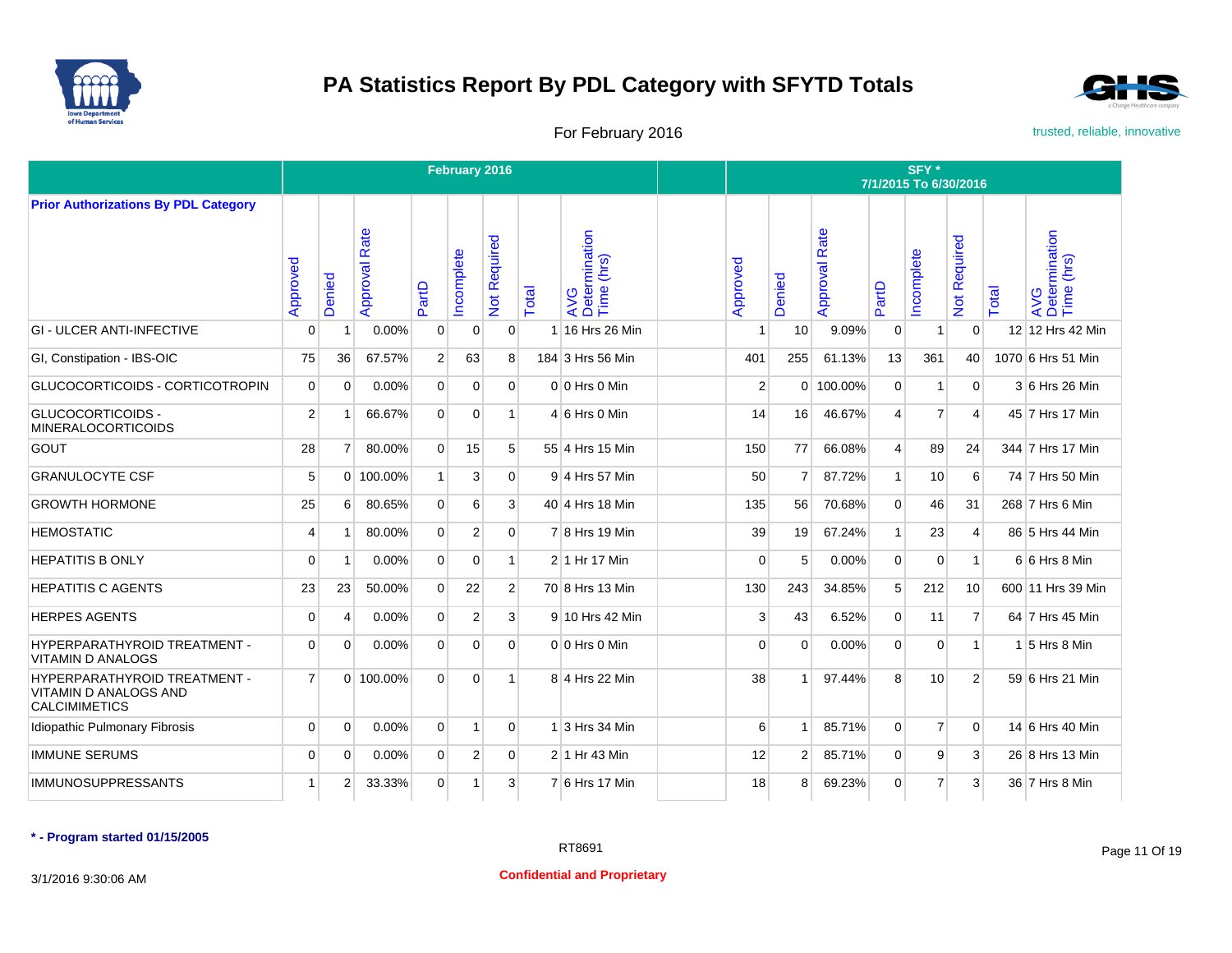



For February 2016 **For February 2016** trusted, reliable, innovative

|                                                                                             |                |                |                  |                | February 2016  |                |       |                                    |          |                |                      |                | SFY*<br>7/1/2015 To 6/30/2016 |                           |       |                                    |
|---------------------------------------------------------------------------------------------|----------------|----------------|------------------|----------------|----------------|----------------|-------|------------------------------------|----------|----------------|----------------------|----------------|-------------------------------|---------------------------|-------|------------------------------------|
| <b>Prior Authorizations By PDL Category</b>                                                 |                |                |                  |                |                |                |       |                                    |          |                |                      |                |                               |                           |       |                                    |
|                                                                                             | Approved       | Denied         | Rate<br>Approval | PartD          | ncomplete      | Not Required   | Total | AVG<br>Determination<br>Time (hrs) | Approved | Denied         | <b>Approval Rate</b> | PartD          | Incomplete                    | Required<br>$\frac{5}{2}$ | Total | AVG<br>Determination<br>Time (hrs) |
| <b>GI - ULCER ANTI-INFECTIVE</b>                                                            | $\Omega$       |                | 0.00%            | $\overline{0}$ | $\mathbf 0$    | $\overline{0}$ |       | 1 16 Hrs 26 Min                    | 1        | 10             | 9.09%                | $\mathbf 0$    | $\mathbf{1}$                  | $\overline{0}$            |       | 12 12 Hrs 42 Min                   |
| GI, Constipation - IBS-OIC                                                                  | 75             | 36             | 67.57%           | 2 <sup>1</sup> | 63             | 8              |       | 184 3 Hrs 56 Min                   | 401      | 255            | 61.13%               | 13             | 361                           | 40                        |       | 1070 6 Hrs 51 Min                  |
| GLUCOCORTICOIDS - CORTICOTROPIN                                                             | $\Omega$       | $\Omega$       | 0.00%            | $\Omega$       | $\Omega$       | $\Omega$       |       | $0 0$ Hrs $0$ Min                  | 2        |                | 0 100.00%            | $\mathbf{0}$   | $\mathbf{1}$                  | $\Omega$                  |       | 3 6 Hrs 26 Min                     |
| <b>GLUCOCORTICOIDS -</b><br><b>MINERALOCORTICOIDS</b>                                       | 2 <sup>1</sup> | 1              | 66.67%           | $\Omega$       | $\Omega$       | $\mathbf{1}$   |       | $4 6$ Hrs 0 Min                    | 14       | 16             | 46.67%               | $\overline{4}$ | $\overline{7}$                | 4                         |       | 45 7 Hrs 17 Min                    |
| <b>GOUT</b>                                                                                 | 28             | $\overline{7}$ | 80.00%           | $\Omega$       | 15             | 5 <sup>1</sup> |       | 55 4 Hrs 15 Min                    | 150      | 77             | 66.08%               | $\vert$        | 89                            | 24                        |       | 344 7 Hrs 17 Min                   |
| <b>GRANULOCYTE CSF</b>                                                                      | 5              |                | 0 100.00%        | 1              | 3              | $\mathbf{0}$   |       | 9 4 Hrs 57 Min                     | 50       | $\overline{7}$ | 87.72%               | $\mathbf{1}$   | 10                            | 6                         |       | 74 7 Hrs 50 Min                    |
| <b>GROWTH HORMONE</b>                                                                       | 25             | 6              | 80.65%           | $\overline{0}$ | 6              | 3              |       | 40 4 Hrs 18 Min                    | 135      | 56             | 70.68%               | $\mathbf{0}$   | 46                            | 31                        |       | 268 7 Hrs 6 Min                    |
| <b>HEMOSTATIC</b>                                                                           | 4              | $\overline{1}$ | 80.00%           | $\overline{0}$ | 2              | $\Omega$       |       | 7 8 Hrs 19 Min                     | 39       | 19             | 67.24%               | $\mathbf{1}$   | 23                            | $\overline{4}$            |       | 86 5 Hrs 44 Min                    |
| <b>HEPATITIS B ONLY</b>                                                                     | $\Omega$       | $\overline{1}$ | 0.00%            | $\Omega$       | $\Omega$       | $\mathbf{1}$   |       | 2 1 Hr 17 Min                      | $\Omega$ | 5              | 0.00%                | $\mathbf{0}$   | $\Omega$                      | $\mathbf{1}$              |       | $6 6$ Hrs 8 Min                    |
| <b>HEPATITIS C AGENTS</b>                                                                   | 23             | 23             | 50.00%           | $\overline{0}$ | 22             | $\overline{2}$ |       | 70 8 Hrs 13 Min                    | 130      | 243            | 34.85%               | 5              | 212                           | 10                        |       | 600 11 Hrs 39 Min                  |
| <b>HERPES AGENTS</b>                                                                        | $\mathbf 0$    | 4              | 0.00%            | $\overline{0}$ | $\overline{2}$ | 3              |       | 9 10 Hrs 42 Min                    | 3        | 43             | 6.52%                | $\mathbf{0}$   | 11                            | $\overline{7}$            |       | 64 7 Hrs 45 Min                    |
| <b>HYPERPARATHYROID TREATMENT -</b><br><b>VITAMIN D ANALOGS</b>                             | 0              | $\Omega$       | 0.00%            | $\overline{0}$ | $\Omega$       | $\Omega$       |       | 0 0 Hrs 0 Min                      | $\Omega$ | $\Omega$       | 0.00%                | $\mathbf{0}$   | $\mathbf 0$                   | $\mathbf{1}$              |       | 1 5 Hrs 8 Min                      |
| <b>HYPERPARATHYROID TREATMENT -</b><br><b>VITAMIN D ANALOGS AND</b><br><b>CALCIMIMETICS</b> | $\overline{7}$ |                | $0$ 100.00%      | $\Omega$       | $\Omega$       | $\mathbf{1}$   |       | 8 4 Hrs 22 Min                     | 38       | -1             | 97.44%               | 8              | 10                            | $\overline{2}$            |       | 59 6 Hrs 21 Min                    |
| Idiopathic Pulmonary Fibrosis                                                               | $\Omega$       | $\Omega$       | 0.00%            | $\Omega$       | $\mathbf{1}$   | $\mathbf{0}$   |       | 1 3 Hrs 34 Min                     | 6        |                | 85.71%               | $\Omega$       | $\overline{7}$                | $\Omega$                  |       | 14 6 Hrs 40 Min                    |
| <b>IMMUNE SERUMS</b>                                                                        | $\mathbf 0$    | $\Omega$       | 0.00%            | $\overline{0}$ | $\overline{2}$ | $\overline{0}$ |       | $2 1$ Hr 43 Min                    | 12       | 2 <sup>1</sup> | 85.71%               | $\mathbf{0}$   | 9                             | 3                         |       | 26 8 Hrs 13 Min                    |
| <b>IMMUNOSUPPRESSANTS</b>                                                                   | 1              | $\overline{2}$ | 33.33%           | $\overline{0}$ | $\mathbf{1}$   | 3              |       | 7 6 Hrs 17 Min                     | 18       | 8              | 69.23%               | $\mathbf{0}$   | $\overline{7}$                | 3                         |       | 36 7 Hrs 8 Min                     |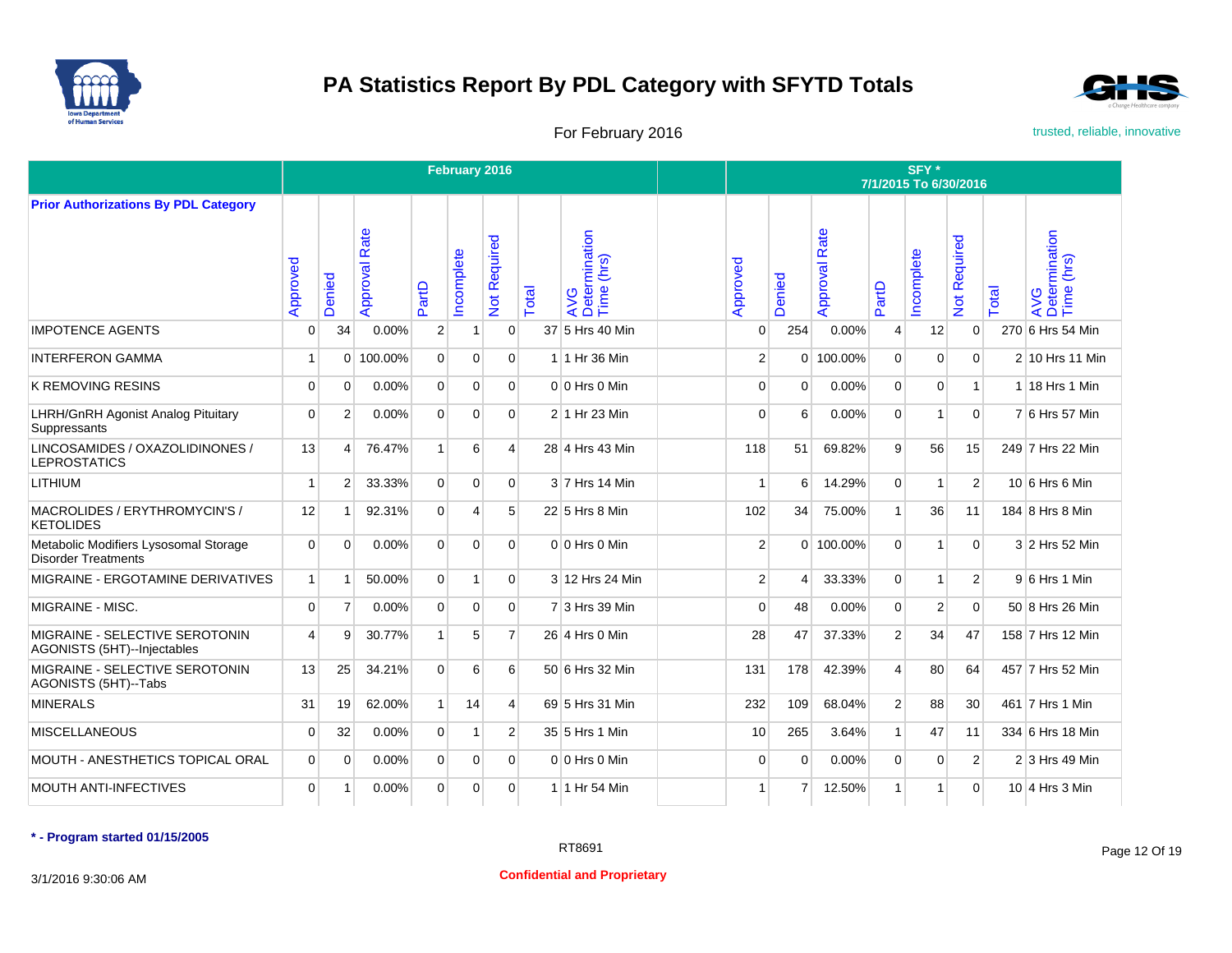



For February 2016 **For February 2016** trusted, reliable, innovative

|                                                                     |              |                       |                  |                | February 2016 |                |       |                                    |                |                |                      |                | SFY*<br>7/1/2015 To 6/30/2016 |                     |       |                                    |
|---------------------------------------------------------------------|--------------|-----------------------|------------------|----------------|---------------|----------------|-------|------------------------------------|----------------|----------------|----------------------|----------------|-------------------------------|---------------------|-------|------------------------------------|
| <b>Prior Authorizations By PDL Category</b>                         |              |                       |                  |                |               |                |       |                                    |                |                |                      |                |                               |                     |       |                                    |
|                                                                     | Approved     | Denied                | Rate<br>Approval | PartD          | ncomplete     | Not Required   | Total | AVG<br>Determination<br>Time (hrs) | Approved       | Denied         | <b>Approval Rate</b> | PartD          | Incomplete                    | <b>Vot Required</b> | Total | AVG<br>Determination<br>Time (hrs) |
| <b>IMPOTENCE AGENTS</b>                                             | $\Omega$     | 34                    | $0.00\%$         | $\overline{2}$ | $\mathbf{1}$  | $\overline{0}$ |       | 37 5 Hrs 40 Min                    | $\Omega$       | 254            | $0.00\%$             | $\overline{4}$ | 12                            | $\mathbf 0$         |       | 270 6 Hrs 54 Min                   |
| <b>INTERFERON GAMMA</b>                                             | 1            | $\Omega$              | 100.00%          | $\Omega$       | $\Omega$      | $\Omega$       |       | 1 1 Hr 36 Min                      | $\overline{2}$ |                | 0 100.00%            | $\Omega$       | $\Omega$                      | $\mathbf 0$         |       | 2 10 Hrs 11 Min                    |
| <b>K REMOVING RESINS</b>                                            | $\mathbf 0$  | $\Omega$              | 0.00%            | $\Omega$       | $\Omega$      | $\Omega$       |       | $0 0$ Hrs $0$ Min                  | $\Omega$       | $\Omega$       | 0.00%                | $\mathbf 0$    | $\Omega$                      | $\mathbf{1}$        |       | 1 18 Hrs 1 Min                     |
| <b>LHRH/GnRH Agonist Analog Pituitary</b><br>Suppressants           | $\Omega$     | $\overline{2}$        | 0.00%            | $\Omega$       | $\Omega$      | $\Omega$       |       | 2 1 Hr 23 Min                      | $\Omega$       | 6              | 0.00%                | $\mathbf 0$    | 1                             | $\Omega$            |       | 7 6 Hrs 57 Min                     |
| LINCOSAMIDES / OXAZOLIDINONES /<br><b>LEPROSTATICS</b>              | 13           | $\boldsymbol{\Delta}$ | 76.47%           | 1              | 6             | $\vert$        |       | 28 4 Hrs 43 Min                    | 118            | 51             | 69.82%               | $\overline{9}$ | 56                            | 15                  |       | 249 7 Hrs 22 Min                   |
| LITHIUM                                                             | 1            | $\overline{2}$        | 33.33%           | $\overline{0}$ | $\Omega$      | $\Omega$       |       | 3 7 Hrs 14 Min                     |                | 6              | 14.29%               | $\overline{0}$ | 1                             | $\overline{2}$      |       | 10 6 Hrs 6 Min                     |
| MACROLIDES / ERYTHROMYCIN'S /<br><b>KETOLIDES</b>                   | 12           | $\overline{1}$        | 92.31%           | $\overline{0}$ | 4             | 5 <sup>1</sup> |       | 22 5 Hrs 8 Min                     | 102            | 34             | 75.00%               | $\mathbf{1}$   | 36                            | 11                  |       | 184 8 Hrs 8 Min                    |
| Metabolic Modifiers Lysosomal Storage<br><b>Disorder Treatments</b> | $\Omega$     | $\Omega$              | 0.00%            | $\mathbf{0}$   | $\mathbf 0$   | $\Omega$       |       | $0 0$ Hrs $0$ Min                  | $\overline{2}$ |                | $0$ 100.00%          | $\mathbf 0$    | 1                             | $\mathbf 0$         |       | 3 2 Hrs 52 Min                     |
| MIGRAINE - ERGOTAMINE DERIVATIVES                                   | $\mathbf{1}$ | $\overline{1}$        | 50.00%           | $\overline{0}$ | $\mathbf{1}$  | $\overline{0}$ |       | 3 12 Hrs 24 Min                    | $\overline{2}$ | $\overline{4}$ | 33.33%               | $\overline{0}$ | $\mathbf{1}$                  | $\overline{2}$      |       | 9 6 Hrs 1 Min                      |
| MIGRAINE - MISC.                                                    | $\Omega$     | $\overline{7}$        | 0.00%            | $\Omega$       | $\Omega$      | $\Omega$       |       | 7 3 Hrs 39 Min                     | $\Omega$       | 48             | 0.00%                | $\Omega$       | $\overline{2}$                | $\Omega$            |       | 50 8 Hrs 26 Min                    |
| MIGRAINE - SELECTIVE SEROTONIN<br>AGONISTS (5HT)--Injectables       | 4            | 9                     | 30.77%           | $\mathbf{1}$   | 5             | $\overline{7}$ |       | 26 4 Hrs 0 Min                     | 28             | 47             | 37.33%               | 2              | 34                            | 47                  |       | 158 7 Hrs 12 Min                   |
| MIGRAINE - SELECTIVE SEROTONIN<br>AGONISTS (5HT)--Tabs              | 13           | 25                    | 34.21%           | $\Omega$       | 6             | 6              |       | 50 6 Hrs 32 Min                    | 131            | 178            | 42.39%               | $\overline{4}$ | 80                            | 64                  |       | 457 7 Hrs 52 Min                   |
| <b>MINERALS</b>                                                     | 31           | 19                    | 62.00%           | 1              | 14            | $\vert$        |       | 69 5 Hrs 31 Min                    | 232            | 109            | 68.04%               | 2 <sup>1</sup> | 88                            | 30                  |       | 461 7 Hrs 1 Min                    |
| <b>MISCELLANEOUS</b>                                                | $\Omega$     | 32                    | 0.00%            | $\mathbf{0}$   | $\mathbf{1}$  | $\overline{2}$ |       | 35 5 Hrs 1 Min                     | 10             | 265            | 3.64%                | $\mathbf{1}$   | 47                            | 11                  |       | 334 6 Hrs 18 Min                   |
| MOUTH - ANESTHETICS TOPICAL ORAL                                    | $\Omega$     | $\Omega$              | 0.00%            | $\overline{0}$ | $\mathbf{0}$  | $\Omega$       |       | $0 0$ Hrs $0$ Min                  | $\Omega$       | $\Omega$       | 0.00%                | $\mathbf 0$    | $\mathbf 0$                   | $\overline{2}$      |       | 2 3 Hrs 49 Min                     |
| <b>MOUTH ANTI-INFECTIVES</b>                                        | $\Omega$     | -1                    | 0.00%            | $\Omega$       | 0             | $\Omega$       |       | 1 1 Hr 54 Min                      | -1             | 7              | 12.50%               | $\mathbf{1}$   | 1                             | $\Omega$            |       | 10 4 Hrs 3 Min                     |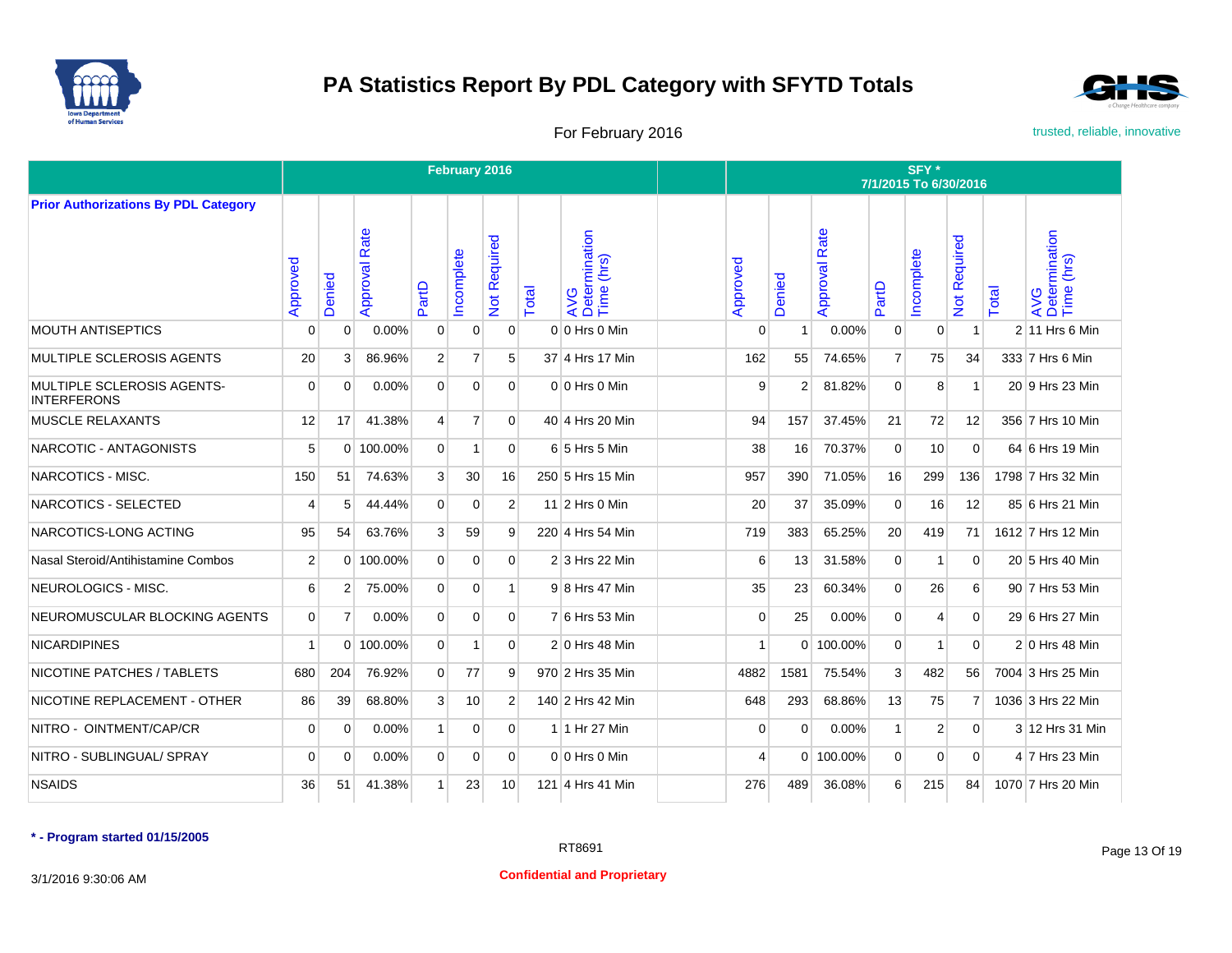



For February 2016 **For February 2016** trusted, reliable, innovative

|                                                  |                |                |                  |                | February 2016  |                     |       |                                    | SFY*<br>7/1/2015 To 6/30/2016 |                |                      |                |              |                           |       |                                    |  |  |
|--------------------------------------------------|----------------|----------------|------------------|----------------|----------------|---------------------|-------|------------------------------------|-------------------------------|----------------|----------------------|----------------|--------------|---------------------------|-------|------------------------------------|--|--|
| <b>Prior Authorizations By PDL Category</b>      |                |                |                  |                |                |                     |       |                                    |                               |                |                      |                |              |                           |       |                                    |  |  |
|                                                  | Approved       | Denied         | Rate<br>Approval | PartD          | ncomplete      | <b>Not Required</b> | Total | AVG<br>Determination<br>Time (hrs) | Approved                      | Denied         | <b>Approval Rate</b> | PartD          | Incomplete   | Required<br>$\frac{1}{2}$ | Total | AVG<br>Determination<br>Time (hrs) |  |  |
| <b>MOUTH ANTISEPTICS</b>                         | $\Omega$       | $\Omega$       | 0.00%            | $\mathbf 0$    | $\mathbf 0$    | $\mathbf{0}$        |       | 0 0 Hrs 0 Min                      | $\Omega$                      |                | 0.00%                | $\mathbf 0$    | $\mathbf 0$  | 1                         |       | 2 11 Hrs 6 Min                     |  |  |
| MULTIPLE SCLEROSIS AGENTS                        | 20             | 3              | 86.96%           | $\overline{2}$ | $\overline{7}$ | 5                   |       | 37 4 Hrs 17 Min                    | 162                           | 55             | 74.65%               | $\overline{7}$ | 75           | 34                        |       | 333 7 Hrs 6 Min                    |  |  |
| MULTIPLE SCLEROSIS AGENTS-<br><b>INTERFERONS</b> | $\Omega$       | $\Omega$       | 0.00%            | $\overline{0}$ | 0              | $\Omega$            |       | 0 0 Hrs 0 Min                      | 9                             | $\overline{2}$ | 81.82%               | $\Omega$       | 8            | $\mathbf{1}$              |       | 20 9 Hrs 23 Min                    |  |  |
| <b>MUSCLE RELAXANTS</b>                          | 12             | 17             | 41.38%           | $\overline{4}$ | $\overline{7}$ | $\Omega$            |       | 40 4 Hrs 20 Min                    | 94                            | 157            | 37.45%               | 21             | 72           | 12                        |       | 356 7 Hrs 10 Min                   |  |  |
| NARCOTIC - ANTAGONISTS                           | 5              | $\Omega$       | 100.00%          | $\Omega$       | 1              | $\Omega$            |       | 6 5 Hrs 5 Min                      | 38                            | 16             | 70.37%               | $\Omega$       | 10           | $\Omega$                  |       | 64 6 Hrs 19 Min                    |  |  |
| NARCOTICS - MISC.                                | 150            | 51             | 74.63%           | $\mathbf{3}$   | 30             | 16                  |       | 250 5 Hrs 15 Min                   | 957                           | 390            | 71.05%               | 16             | 299          | 136                       |       | 1798 7 Hrs 32 Min                  |  |  |
| NARCOTICS - SELECTED                             | 4              | 5              | 44.44%           | $\Omega$       | $\Omega$       | $\overline{2}$      |       | 11 2 Hrs 0 Min                     | 20                            | 37             | 35.09%               | $\Omega$       | 16           | 12                        |       | 85 6 Hrs 21 Min                    |  |  |
| NARCOTICS-LONG ACTING                            | 95             | 54             | 63.76%           | $\mathbf{3}$   | 59             | 9                   |       | 220 4 Hrs 54 Min                   | 719                           | 383            | 65.25%               | 20             | 419          | 71                        |       | 1612 7 Hrs 12 Min                  |  |  |
| Nasal Steroid/Antihistamine Combos               | 2 <sup>1</sup> |                | $0$ 100.00%      | $\Omega$       | $\Omega$       | $\Omega$            |       | 2 3 Hrs 22 Min                     | 6                             | 13             | 31.58%               | $\Omega$       | $\mathbf{1}$ | $\Omega$                  |       | 20 5 Hrs 40 Min                    |  |  |
| NEUROLOGICS - MISC.                              | 6              | $\overline{2}$ | 75.00%           | $\Omega$       | $\Omega$       | 1                   |       | 9 8 Hrs 47 Min                     | 35                            | 23             | 60.34%               | $\Omega$       | 26           | 6                         |       | 90 7 Hrs 53 Min                    |  |  |
| NEUROMUSCULAR BLOCKING AGENTS                    | $\Omega$       | 7              | 0.00%            | $\Omega$       | $\Omega$       | $\Omega$            |       | 7 6 Hrs 53 Min                     | $\Omega$                      | 25             | 0.00%                | $\Omega$       | 4            | $\Omega$                  |       | 29 6 Hrs 27 Min                    |  |  |
| <b>NICARDIPINES</b>                              | $\mathbf{1}$   | $\Omega$       | 100.00%          | $\overline{0}$ | 1              | $\overline{0}$      |       | $2 0$ Hrs 48 Min                   | $\mathbf{1}$                  |                | 0 100.00%            | $\mathbf 0$    | $\mathbf{1}$ | $\mathbf 0$               |       | 2 0 Hrs 48 Min                     |  |  |
| NICOTINE PATCHES / TABLETS                       | 680            | 204            | 76.92%           | $\overline{0}$ | 77             | 9                   |       | 970 2 Hrs 35 Min                   | 4882                          | 1581           | 75.54%               | 3              | 482          | 56                        |       | 7004 3 Hrs 25 Min                  |  |  |
| NICOTINE REPLACEMENT - OTHER                     | 86             | 39             | 68.80%           | $\mathbf{3}$   | 10             | $\overline{2}$      |       | 140 2 Hrs 42 Min                   | 648                           | 293            | 68.86%               | 13             | 75           | $\overline{7}$            |       | 1036 3 Hrs 22 Min                  |  |  |
| NITRO - OINTMENT/CAP/CR                          | 0              | $\Omega$       | 0.00%            | $\mathbf{1}$   | 0              | $\overline{0}$      |       | 1 1 Hr 27 Min                      | 0                             | $\Omega$       | 0.00%                | $\mathbf{1}$   | 2            | $\mathbf 0$               |       | 3 12 Hrs 31 Min                    |  |  |
| NITRO - SUBLINGUAL/ SPRAY                        | $\mathbf 0$    | $\Omega$       | 0.00%            | $\mathbf 0$    | 0              | $\overline{0}$      |       | 0 0 Hrs 0 Min                      | 4                             |                | 0 100.00%            | $\mathbf 0$    | $\mathbf 0$  | $\mathbf 0$               |       | 4 7 Hrs 23 Min                     |  |  |
| <b>NSAIDS</b>                                    | 36             | 51             | 41.38%           | $\mathbf{1}$   | 23             | 10                  |       | 121 4 Hrs 41 Min                   | 276                           | 489            | 36.08%               | 6              | 215          | 84                        |       | 1070 7 Hrs 20 Min                  |  |  |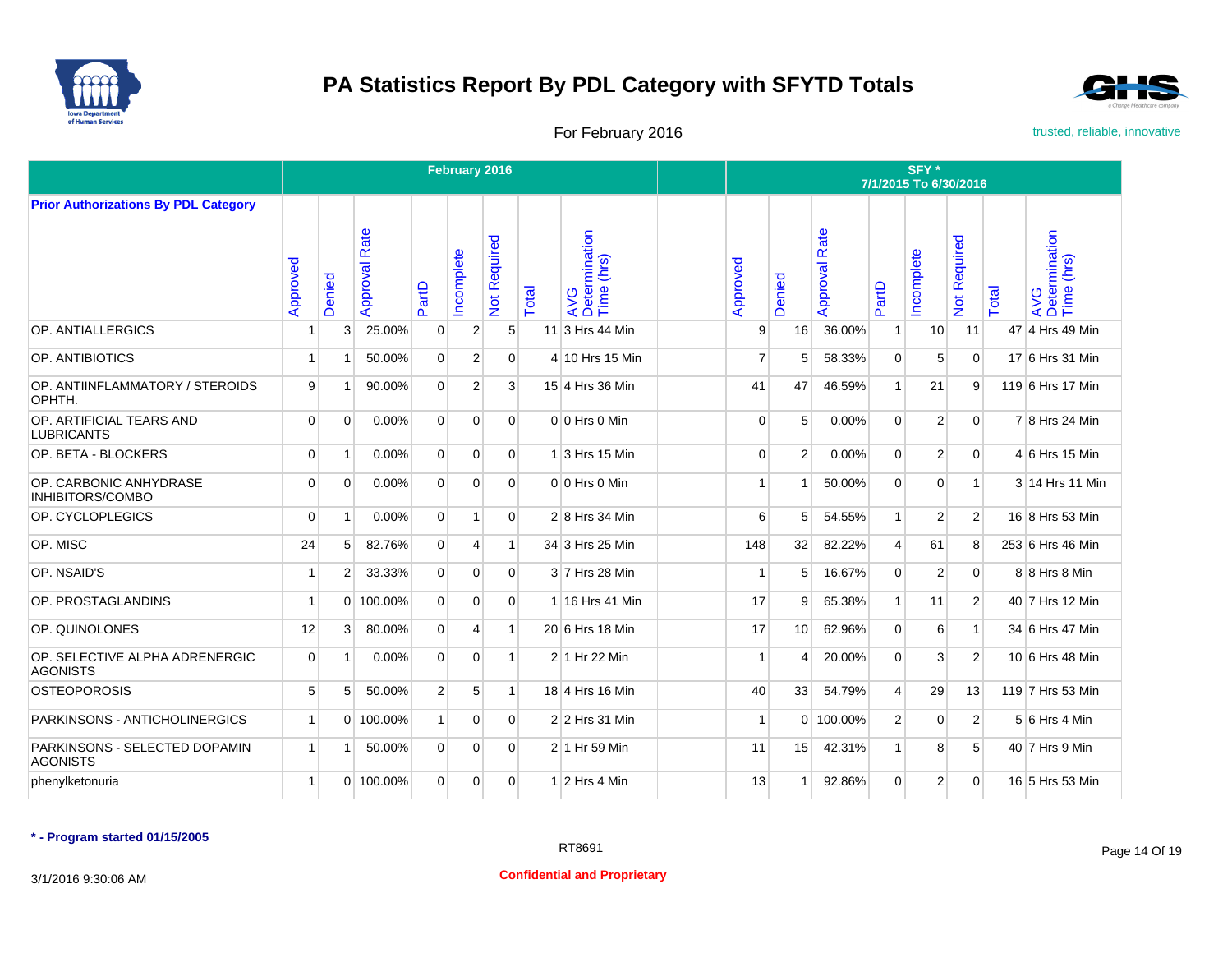



For February 2016 **For February 2016** trusted, reliable, innovative

|                                                   |             |                |                  |                | February 2016  |                     |       |                                     | SFY*<br>7/1/2015 To 6/30/2016 |                          |                      |                |                         |                |       |                                    |  |  |
|---------------------------------------------------|-------------|----------------|------------------|----------------|----------------|---------------------|-------|-------------------------------------|-------------------------------|--------------------------|----------------------|----------------|-------------------------|----------------|-------|------------------------------------|--|--|
| <b>Prior Authorizations By PDL Category</b>       |             |                |                  |                |                |                     |       |                                     |                               |                          |                      |                |                         |                |       |                                    |  |  |
|                                                   | Approved    | Denied         | Rate<br>Approval | PartD          | ncomplete      | <b>Not Required</b> | Total | AVG<br>Determination<br>Time (hrs)  | Approved                      | Denied                   | <b>Approval Rate</b> | PartD          | Incomplete              | Not Required   | Total | AVG<br>Determination<br>Time (hrs) |  |  |
| OP. ANTIALLERGICS                                 | í           | 3              | 25.00%           | $\mathbf 0$    | $\overline{2}$ | 5 <sup>5</sup>      | 11    | 3 Hrs 44 Min                        | 9                             | 16                       | 36.00%               | $\mathbf{1}$   | 10                      | 11             |       | 47 4 Hrs 49 Min                    |  |  |
| OP. ANTIBIOTICS                                   | 1           |                | 50.00%           | $\Omega$       | $\overline{2}$ | $\Omega$            |       | 4 10 Hrs 15 Min                     | 7                             | 5                        | 58.33%               | $\mathbf{0}$   | 5                       | $\mathbf{0}$   |       | 17 6 Hrs 31 Min                    |  |  |
| OP. ANTIINFLAMMATORY / STEROIDS<br>OPHTH.         | 9           | -1             | 90.00%           | $\overline{0}$ | $\overline{2}$ | 3                   |       | 15 4 Hrs 36 Min                     | 41                            | 47                       | 46.59%               | $\mathbf{1}$   | 21                      | 9              |       | 119 6 Hrs 17 Min                   |  |  |
| OP. ARTIFICIAL TEARS AND<br><b>LUBRICANTS</b>     | $\Omega$    | $\Omega$       | 0.00%            | $\Omega$       | $\Omega$       | $\Omega$            |       | $0 0$ Hrs $0$ Min                   | $\Omega$                      | 5                        | 0.00%                | $\Omega$       | $\overline{2}$          | $\mathbf{0}$   |       | 7 8 Hrs 24 Min                     |  |  |
| OP. BETA - BLOCKERS                               | $\mathbf 0$ | $\overline{1}$ | 0.00%            | $\overline{0}$ | $\mathbf 0$    | $\overline{0}$      |       | $1\overline{\smash{)}3}$ Hrs 15 Min | $\mathbf 0$                   | 2                        | 0.00%                | $\mathbf{0}$   | $\overline{2}$          | $\mathbf{0}$   |       | $4 6$ Hrs 15 Min                   |  |  |
| OP. CARBONIC ANHYDRASE<br><b>INHIBITORS/COMBO</b> | $\Omega$    | $\Omega$       | 0.00%            | $\Omega$       | $\Omega$       | $\Omega$            |       | $0 0$ Hrs $0$ Min                   | 1                             | -1                       | 50.00%               | $\Omega$       | $\Omega$                | $\mathbf{1}$   |       | 3 14 Hrs 11 Min                    |  |  |
| OP. CYCLOPLEGICS                                  | $\Omega$    | $\overline{1}$ | 0.00%            | $\Omega$       | $\mathbf{1}$   | $\Omega$            |       | 2 8 Hrs 34 Min                      | $6 \mid$                      | 5                        | 54.55%               | $\mathbf{1}$   | 2                       | 2              |       | 16 8 Hrs 53 Min                    |  |  |
| OP. MISC                                          | 24          | 5              | 82.76%           | $\Omega$       | $\overline{4}$ | 1                   |       | 34 3 Hrs 25 Min                     | 148                           | 32                       | 82.22%               | $\overline{4}$ | 61                      | 8              |       | 253 6 Hrs 46 Min                   |  |  |
| OP. NSAID'S                                       | -1          | $\overline{2}$ | 33.33%           | $\Omega$       | $\Omega$       | $\Omega$            |       | 3 7 Hrs 28 Min                      | 1                             | 5                        | 16.67%               | $\Omega$       | $\overline{2}$          | $\Omega$       |       | 8 8 Hrs 8 Min                      |  |  |
| OP. PROSTAGLANDINS                                | 1           |                | 0 100.00%        | $\Omega$       | $\mathbf 0$    | $\Omega$            |       | 1 16 Hrs 41 Min                     | 17                            | 9                        | 65.38%               | $\mathbf{1}$   | 11                      | 2              |       | 40 7 Hrs 12 Min                    |  |  |
| OP. QUINOLONES                                    | 12          | 3              | 80.00%           | $\overline{0}$ | 4              | $\mathbf{1}$        |       | 20 6 Hrs 18 Min                     | 17                            | 10                       | 62.96%               | $\Omega$       | 6                       | $\mathbf{1}$   |       | 34 6 Hrs 47 Min                    |  |  |
| OP. SELECTIVE ALPHA ADRENERGIC<br><b>AGONISTS</b> | $\Omega$    | -1             | 0.00%            | $\Omega$       | $\Omega$       | $\overline{1}$      |       | 2 1 Hr 22 Min                       | 1                             | $\boldsymbol{\varDelta}$ | 20.00%               | $\Omega$       | 3                       | $\overline{2}$ |       | 10 6 Hrs 48 Min                    |  |  |
| <b>OSTEOPOROSIS</b>                               | 5           | 5              | 50.00%           | $\overline{2}$ | 5              | $\mathbf{1}$        |       | 18 4 Hrs 16 Min                     | 40                            | 33                       | 54.79%               | $\overline{4}$ | 29                      | 13             |       | 119 7 Hrs 53 Min                   |  |  |
| PARKINSONS - ANTICHOLINERGICS                     | 1           | $\Omega$       | 100.00%          | 1              | $\mathbf 0$    | $\Omega$            |       | 2 2 Hrs 31 Min                      |                               |                          | 0 100.00%            | $\overline{2}$ | $\mathbf 0$             | $\overline{2}$ |       | 5 6 Hrs 4 Min                      |  |  |
| PARKINSONS - SELECTED DOPAMIN<br><b>AGONISTS</b>  | 1           |                | 50.00%           | $\overline{0}$ | 0              | $\Omega$            |       | 2 1 Hr 59 Min                       | 11                            | 15                       | 42.31%               | $\mathbf{1}$   | 8                       | 5              |       | 40 7 Hrs 9 Min                     |  |  |
| phenylketonuria                                   | 1           |                | 0 100.00%        | $\overline{0}$ | $\mathbf 0$    | $\overline{0}$      |       | $1$ 2 Hrs 4 Min                     | 13                            |                          | 92.86%               | $\mathbf{0}$   | $\overline{\mathbf{c}}$ | $\mathbf{0}$   |       | 16 5 Hrs 53 Min                    |  |  |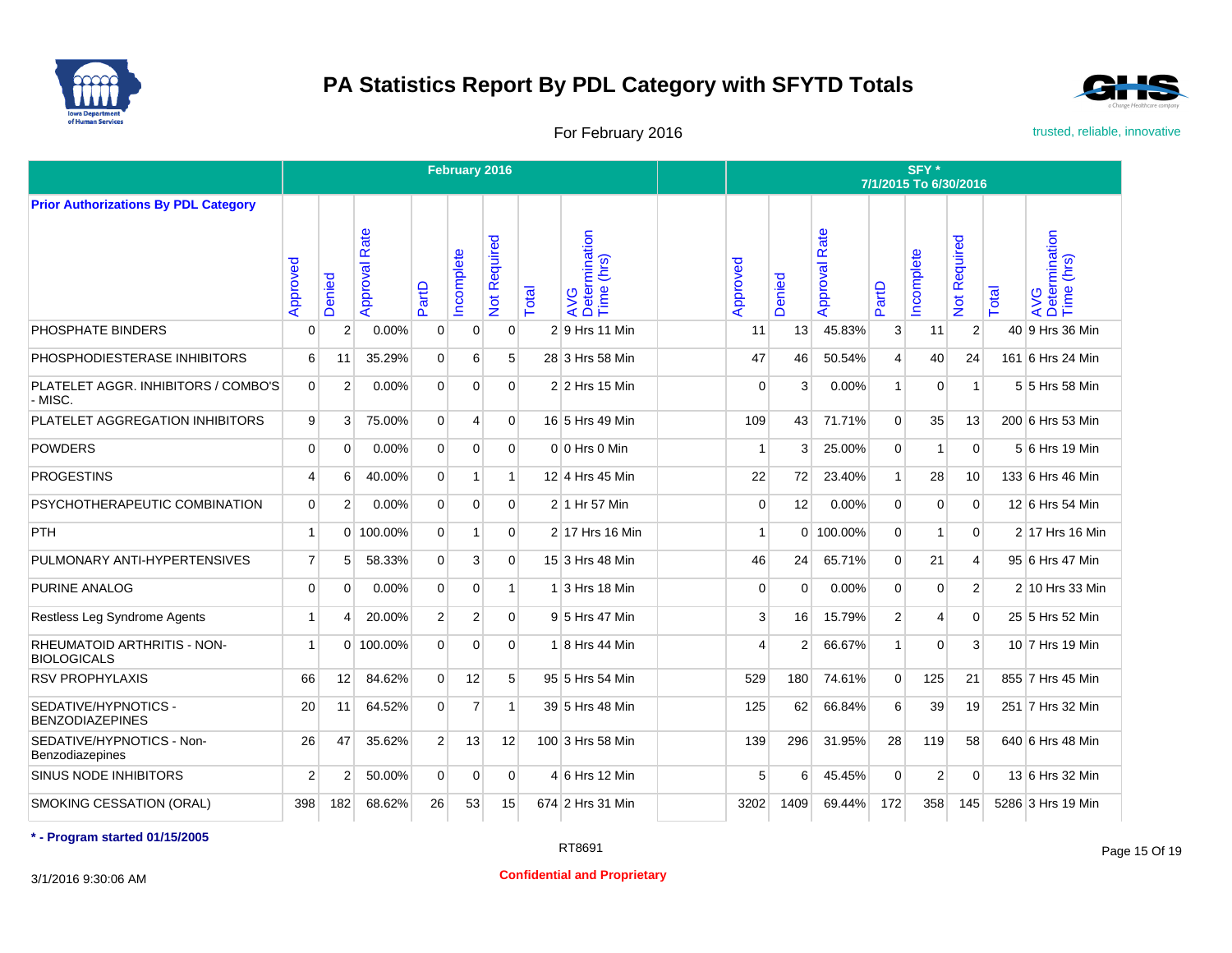



For February 2016 **For February 2016** trusted, reliable, innovative

|                                                          |                |                |                  |                | February 2016  |                |       |                                    | SFY*<br>7/1/2015 To 6/30/2016 |              |                      |                |                |                     |       |                                    |  |  |
|----------------------------------------------------------|----------------|----------------|------------------|----------------|----------------|----------------|-------|------------------------------------|-------------------------------|--------------|----------------------|----------------|----------------|---------------------|-------|------------------------------------|--|--|
| <b>Prior Authorizations By PDL Category</b>              |                |                |                  |                |                |                |       |                                    |                               |              |                      |                |                |                     |       |                                    |  |  |
|                                                          | Approved       | Denied         | Rate<br>Approval | PartD          | ncomplete      | Not Required   | Total | AVG<br>Determination<br>Time (hrs) | Approved                      | Denied       | <b>Approval Rate</b> | PartD          | Incomplete     | <b>Vot Required</b> | Total | AVG<br>Determination<br>Time (hrs) |  |  |
| PHOSPHATE BINDERS                                        | 0              | $\overline{2}$ | 0.00%            | $\mathbf 0$    | $\mathbf 0$    | $\mathbf{0}$   |       | 2 9 Hrs 11 Min                     | 11                            | 13           | 45.83%               | 3              | 11             | $\overline{2}$      |       | 40 9 Hrs 36 Min                    |  |  |
| PHOSPHODIESTERASE INHIBITORS                             | 6              | 11             | 35.29%           | $\overline{0}$ | 6              | 5              |       | 28 3 Hrs 58 Min                    | 47                            | 46           | 50.54%               | $\overline{4}$ | 40             | 24                  |       | 161 6 Hrs 24 Min                   |  |  |
| PLATELET AGGR. INHIBITORS / COMBO'S<br>- MISC.           | $\overline{0}$ | 2              | 0.00%            | $\overline{0}$ | 0              | $\overline{0}$ |       | 2 2 Hrs 15 Min                     | $\overline{0}$                | $\mathbf{3}$ | 0.00%                | $\mathbf{1}$   | $\mathbf 0$    | $\mathbf{1}$        |       | 5 5 Hrs 58 Min                     |  |  |
| PLATELET AGGREGATION INHIBITORS                          | 9              | 3              | 75.00%           | $\overline{0}$ | 4              | $\mathbf{0}$   |       | 16 5 Hrs 49 Min                    | 109                           | 43           | 71.71%               | $\Omega$       | 35             | 13                  |       | 200 6 Hrs 53 Min                   |  |  |
| <b>POWDERS</b>                                           | $\Omega$       | $\Omega$       | 0.00%            | $\Omega$       | $\Omega$       | $\Omega$       |       | 0 0 Hrs 0 Min                      | $\overline{1}$                | $\mathbf{3}$ | 25.00%               | $\mathbf{0}$   | 1              | $\Omega$            |       | 5 6 Hrs 19 Min                     |  |  |
| <b>PROGESTINS</b>                                        | 4              | 6              | 40.00%           | $\overline{0}$ | $\mathbf{1}$   | $\mathbf{1}$   |       | 12 4 Hrs 45 Min                    | 22                            | 72           | 23.40%               | $\mathbf{1}$   | 28             | 10                  |       | 133 6 Hrs 46 Min                   |  |  |
| PSYCHOTHERAPEUTIC COMBINATION                            | $\Omega$       | $\overline{2}$ | 0.00%            | $\Omega$       | $\Omega$       | $\Omega$       |       | 2 1 Hr 57 Min                      | $\Omega$                      | 12           | 0.00%                | $\mathbf{0}$   | $\Omega$       | $\Omega$            |       | 12 6 Hrs 54 Min                    |  |  |
| PTH                                                      | $\mathbf{1}$   | $\Omega$       | 100.00%          | $\overline{0}$ | 1              | $\overline{0}$ |       | 2 17 Hrs 16 Min                    | 1                             | $\Omega$     | 100.00%              | $\mathbf{0}$   | 1              | $\mathbf 0$         |       | 2 17 Hrs 16 Min                    |  |  |
| PULMONARY ANTI-HYPERTENSIVES                             | $\overline{7}$ | 5              | 58.33%           | $\mathbf{0}$   | 3              | $\overline{0}$ |       | 15 3 Hrs 48 Min                    | 46                            | 24           | 65.71%               | $\mathbf{0}$   | 21             | $\overline{4}$      |       | 95 6 Hrs 47 Min                    |  |  |
| PURINE ANALOG                                            | 0              | 0              | 0.00%            | $\overline{0}$ | $\mathbf 0$    | $\mathbf{1}$   |       | 1 3 Hrs 18 Min                     | $\overline{0}$                | $\Omega$     | 0.00%                | $\mathbf{0}$   | $\mathbf 0$    | $\overline{2}$      |       | 2 10 Hrs 33 Min                    |  |  |
| Restless Leg Syndrome Agents                             | $\mathbf{1}$   | 4              | 20.00%           | 2 <sup>1</sup> | $\overline{2}$ | $\overline{0}$ |       | 9 5 Hrs 47 Min                     | 3                             | 16           | 15.79%               | 2              | 4              | $\mathbf 0$         |       | 25 5 Hrs 52 Min                    |  |  |
| <b>RHEUMATOID ARTHRITIS - NON-</b><br><b>BIOLOGICALS</b> | $\mathbf{1}$   | $\Omega$       | 100.00%          | $\Omega$       | $\Omega$       | $\Omega$       |       | 1 8 Hrs 44 Min                     | 4                             | 2            | 66.67%               | $\overline{1}$ | $\Omega$       | 3                   |       | 10 7 Hrs 19 Min                    |  |  |
| <b>RSV PROPHYLAXIS</b>                                   | 66             | 12             | 84.62%           | $\overline{0}$ | 12             | 5              |       | 95 5 Hrs 54 Min                    | 529                           | 180          | 74.61%               | $\Omega$       | 125            | 21                  |       | 855 7 Hrs 45 Min                   |  |  |
| SEDATIVE/HYPNOTICS -<br><b>BENZODIAZEPINES</b>           | 20             | 11             | 64.52%           | $\overline{0}$ | $\overline{7}$ | $\mathbf{1}$   |       | 39 5 Hrs 48 Min                    | 125                           | 62           | 66.84%               | 6              | 39             | 19                  |       | 251 7 Hrs 32 Min                   |  |  |
| SEDATIVE/HYPNOTICS - Non-<br>Benzodiazepines             | 26             | 47             | 35.62%           | 2 <sup>1</sup> | 13             | 12             |       | 100 3 Hrs 58 Min                   | 139                           | 296          | 31.95%               | 28             | 119            | 58                  |       | 640 6 Hrs 48 Min                   |  |  |
| <b>SINUS NODE INHIBITORS</b>                             | 2              | $\overline{2}$ | 50.00%           | $\mathbf{0}$   | $\mathbf 0$    | $\Omega$       |       | 4 6 Hrs 12 Min                     | 5                             | 6            | 45.45%               | $\Omega$       | $\overline{2}$ | $\Omega$            |       | 13 6 Hrs 32 Min                    |  |  |
| SMOKING CESSATION (ORAL)                                 | 398            | 182            | 68.62%           | 26             | 53             | 15             |       | 674 2 Hrs 31 Min                   | 3202                          | 1409         | 69.44%               | 172            | 358            | 145                 |       | 5286 3 Hrs 19 Min                  |  |  |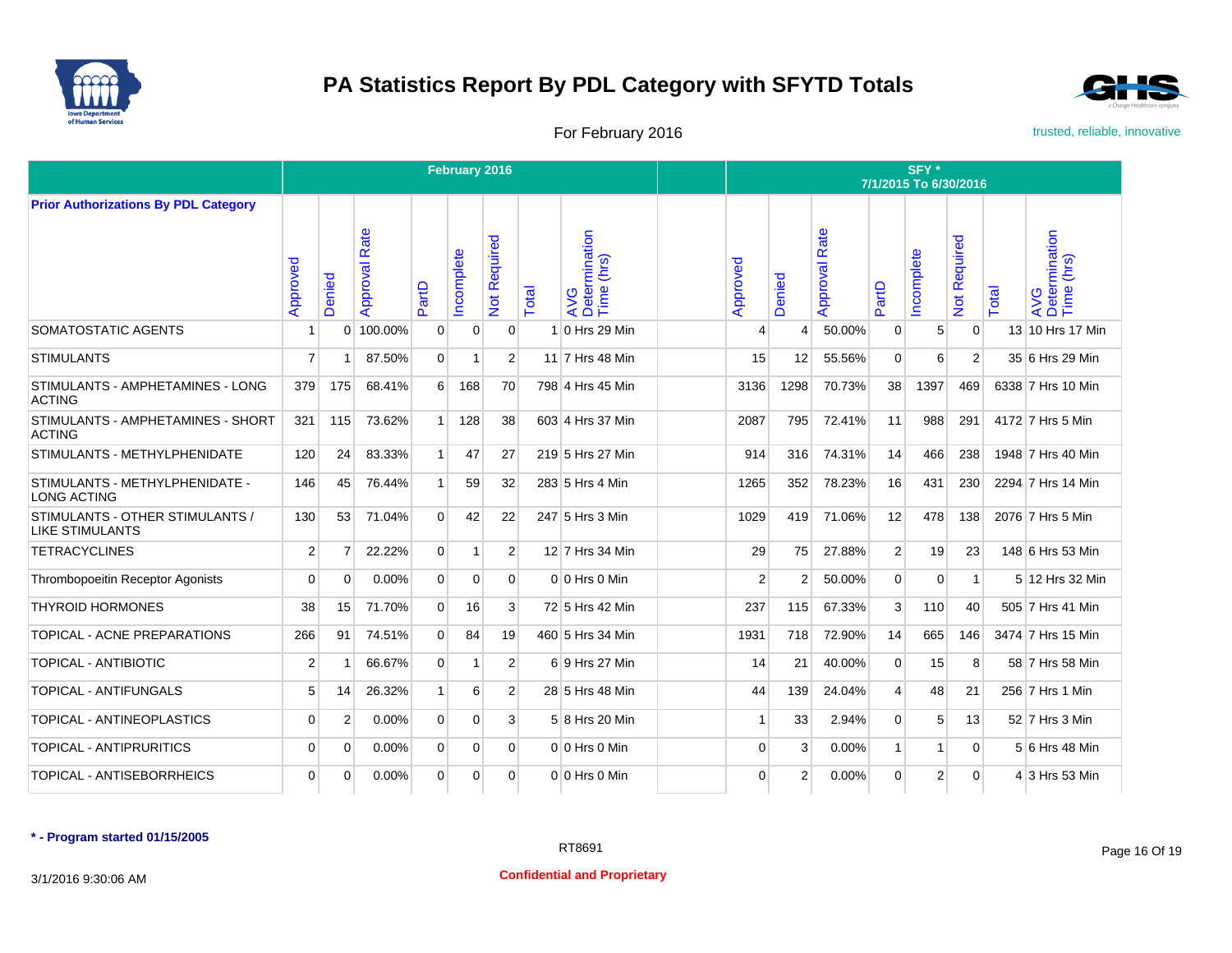



For February 2016 **For February 2016** trusted, reliable, innovative

|                                                           |                |                |                  |                  | February 2016 |                                         |       |                                             | SFY <sup>*</sup><br>7/1/2015 To 6/30/2016 |                |                      |                |             |                                              |              |                                    |  |  |
|-----------------------------------------------------------|----------------|----------------|------------------|------------------|---------------|-----------------------------------------|-------|---------------------------------------------|-------------------------------------------|----------------|----------------------|----------------|-------------|----------------------------------------------|--------------|------------------------------------|--|--|
| <b>Prior Authorizations By PDL Category</b>               |                |                |                  |                  |               |                                         |       |                                             |                                           |                |                      |                |             |                                              |              |                                    |  |  |
|                                                           | Approved       | Denied         | Rate<br>Approval | PartD            | ncomplete     | equired<br>œ<br>$\overline{\mathsf{S}}$ | Total | AVG<br>Determination<br>Time (hrs)<br>(hrs) | Approved                                  | Denied         | <b>Approval Rate</b> | PartD          | Incomplete  | equired<br>$\tilde{\alpha}$<br>$\frac{5}{2}$ | <b>Total</b> | AVG<br>Determination<br>Time (hrs) |  |  |
| SOMATOSTATIC AGENTS                                       |                | 0              | 100.00%          | 0                | 0             | 0                                       |       | 0 Hrs 29 Min                                | Δ                                         | 4              | 50.00%               | 0              | 5           | 0                                            |              | 13 10 Hrs 17 Min                   |  |  |
| <b>STIMULANTS</b>                                         | $\overline{7}$ |                | 87.50%           | $\overline{0}$   | 1             | 2                                       |       | 11 7 Hrs 48 Min                             | 15                                        | 12             | 55.56%               | 0              | 6           | 2                                            |              | 35 6 Hrs 29 Min                    |  |  |
| STIMULANTS - AMPHETAMINES - LONG<br><b>ACTING</b>         | 379            | 175            | 68.41%           | $6 \overline{6}$ | 168           | 70                                      |       | 798 4 Hrs 45 Min                            | 3136                                      | 1298           | 70.73%               | 38             | 1397        | 469                                          |              | 6338 7 Hrs 10 Min                  |  |  |
| STIMULANTS - AMPHETAMINES - SHORT<br><b>ACTING</b>        | 321            | 115            | 73.62%           | 1                | 128           | 38                                      |       | 603 4 Hrs 37 Min                            | 2087                                      | 795            | 72.41%               | 11             | 988         | 291                                          |              | 4172 7 Hrs 5 Min                   |  |  |
| STIMULANTS - METHYLPHENIDATE                              | 120            | 24             | 83.33%           | $\mathbf{1}$     | 47            | 27                                      |       | 219 5 Hrs 27 Min                            | 914                                       | 316            | 74.31%               | 14             | 466         | 238                                          |              | 1948 7 Hrs 40 Min                  |  |  |
| STIMULANTS - METHYLPHENIDATE -<br><b>LONG ACTING</b>      | 146            | 45             | 76.44%           | $\mathbf{1}$     | 59            | 32                                      |       | 283 5 Hrs 4 Min                             | 1265                                      | 352            | 78.23%               | 16             | 431         | 230                                          |              | 2294 7 Hrs 14 Min                  |  |  |
| STIMULANTS - OTHER STIMULANTS /<br><b>LIKE STIMULANTS</b> | 130            | 53             | 71.04%           | $\Omega$         | 42            | 22                                      |       | 247 5 Hrs 3 Min                             | 1029                                      | 419            | 71.06%               | 12             | 478         | 138                                          |              | 2076 7 Hrs 5 Min                   |  |  |
| <b>TETRACYCLINES</b>                                      | $\overline{2}$ |                | 22.22%           | $\overline{0}$   | 1             | $\overline{2}$                          |       | 12 7 Hrs 34 Min                             | 29                                        | 75             | 27.88%               | $\overline{2}$ | 19          | 23                                           |              | 148 6 Hrs 53 Min                   |  |  |
| <b>Thrombopoeitin Receptor Agonists</b>                   | $\Omega$       | $\Omega$       | 0.00%            | $\overline{0}$   | $\mathbf 0$   | $\Omega$                                |       | $0 0$ Hrs $0$ Min                           | 2                                         | $\overline{2}$ | 50.00%               | $\mathbf 0$    | $\mathbf 0$ | $\mathbf{1}$                                 |              | 5 12 Hrs 32 Min                    |  |  |
| <b>THYROID HORMONES</b>                                   | 38             | 15             | 71.70%           | $\overline{0}$   | 16            | $\mathbf{3}$                            |       | 72 5 Hrs 42 Min                             | 237                                       | 115            | 67.33%               | 3              | 110         | 40                                           |              | 505 7 Hrs 41 Min                   |  |  |
| TOPICAL - ACNE PREPARATIONS                               | 266            | 91             | 74.51%           | $\Omega$         | 84            | 19                                      |       | 460 5 Hrs 34 Min                            | 1931                                      | 718            | 72.90%               | 14             | 665         | 146                                          |              | 3474 7 Hrs 15 Min                  |  |  |
| <b>TOPICAL - ANTIBIOTIC</b>                               | $\overline{2}$ |                | 66.67%           | $\overline{0}$   | 1             | $\overline{2}$                          |       | 6 9 Hrs 27 Min                              | 14                                        | 21             | 40.00%               | $\mathbf 0$    | 15          | 8                                            |              | 58 7 Hrs 58 Min                    |  |  |
| <b>TOPICAL - ANTIFUNGALS</b>                              | 5              | 14             | 26.32%           | 1                | 6             | $\overline{2}$                          |       | 28 5 Hrs 48 Min                             | 44                                        | 139            | 24.04%               | 4              | 48          | 21                                           |              | 256 7 Hrs 1 Min                    |  |  |
| TOPICAL - ANTINEOPLASTICS                                 | $\Omega$       | $\overline{2}$ | $0.00\%$         | $\Omega$         | $\Omega$      | $\mathbf{3}$                            |       | 5 8 Hrs 20 Min                              | -1                                        | 33             | 2.94%                | $\Omega$       | 5           | 13                                           |              | 52 7 Hrs 3 Min                     |  |  |
| TOPICAL - ANTIPRURITICS                                   | $\mathbf 0$    | $\Omega$       | 0.00%            | $\mathbf 0$      | $\mathbf 0$   | $\overline{0}$                          |       | 0 0 Hrs 0 Min                               | 0                                         | 3              | 0.00%                | $\mathbf{1}$   | 1           | $\mathbf 0$                                  |              | 5 6 Hrs 48 Min                     |  |  |
| TOPICAL - ANTISEBORRHEICS                                 | $\Omega$       | $\Omega$       | 0.00%            | $\overline{0}$   | 0             | $\Omega$                                |       | 0 0 Hrs 0 Min                               | 0                                         | $\overline{2}$ | 0.00%                | $\Omega$       | 2           | $\Omega$                                     |              | 4 3 Hrs 53 Min                     |  |  |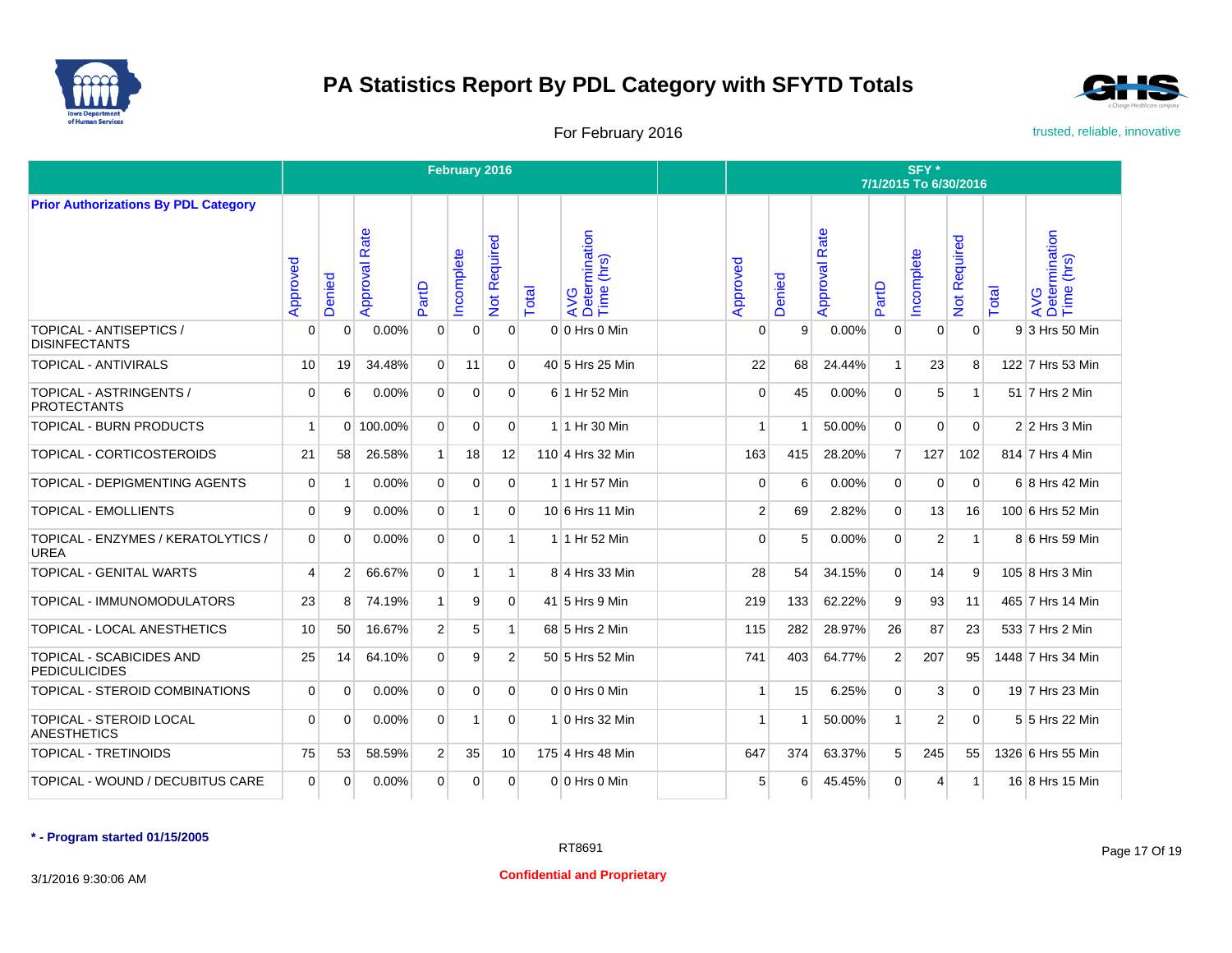



For February 2016 **For February 2016** trusted, reliable, innovative

|                                                      |              |                |                  |                | February 2016 |                |       |                                    | SFY*<br>7/1/2015 To 6/30/2016 |        |                      |                |                |                           |       |                                    |  |  |
|------------------------------------------------------|--------------|----------------|------------------|----------------|---------------|----------------|-------|------------------------------------|-------------------------------|--------|----------------------|----------------|----------------|---------------------------|-------|------------------------------------|--|--|
| <b>Prior Authorizations By PDL Category</b>          |              |                |                  |                |               |                |       |                                    |                               |        |                      |                |                |                           |       |                                    |  |  |
|                                                      | Approved     | Denied         | Rate<br>Approval | PartD          | ncomplete     | Not Required   | Total | AVG<br>Determination<br>Time (hrs) | Approved                      | Denied | <b>Approval Rate</b> | PartD          | Incomplete     | Required<br>$\frac{5}{2}$ | Total | AVG<br>Determination<br>Time (hrs) |  |  |
| TOPICAL - ANTISEPTICS /<br><b>DISINFECTANTS</b>      | $\Omega$     | $\mathbf 0$    | 0.00%            | $\overline{0}$ | $\mathbf 0$   | $\mathbf{0}$   |       | 0 0 Hrs 0 Min                      | 0                             | 9      | 0.00%                | $\mathbf{0}$   | $\mathbf 0$    | $\overline{0}$            |       | 9 3 Hrs 50 Min                     |  |  |
| <b>TOPICAL - ANTIVIRALS</b>                          | 10           | 19             | 34.48%           | $\overline{0}$ | 11            | $\Omega$       |       | 40 5 Hrs 25 Min                    | 22                            | 68     | 24.44%               | $\mathbf{1}$   | 23             | 8                         |       | 122 7 Hrs 53 Min                   |  |  |
| TOPICAL - ASTRINGENTS /<br><b>PROTECTANTS</b>        | 0            | 6              | 0.00%            | $\overline{0}$ | $\mathbf 0$   | $\overline{0}$ |       | 6 1 Hr 52 Min                      | 0                             | 45     | 0.00%                | $\mathbf 0$    | 5              | 1                         |       | 51 7 Hrs 2 Min                     |  |  |
| TOPICAL - BURN PRODUCTS                              | $\mathbf{1}$ | $\Omega$       | 100.00%          | $\overline{0}$ | $\mathbf 0$   | $\mathbf{0}$   |       | 1 1 Hr 30 Min                      | 1                             |        | 50.00%               | $\mathbf{0}$   | $\Omega$       | $\overline{0}$            |       | $2 2$ Hrs 3 Min                    |  |  |
| TOPICAL - CORTICOSTEROIDS                            | 21           | 58             | 26.58%           | 1 <sup>1</sup> | 18            | 12             |       | 110 4 Hrs 32 Min                   | 163                           | 415    | 28.20%               | $\overline{7}$ | 127            | 102                       |       | 814 7 Hrs 4 Min                    |  |  |
| TOPICAL - DEPIGMENTING AGENTS                        | $\Omega$     | $\overline{1}$ | 0.00%            | $\Omega$       | $\Omega$      | $\Omega$       |       | 1 1 Hr 57 Min                      | $\Omega$                      | 6      | 0.00%                | $\Omega$       | $\Omega$       | $\Omega$                  |       | 6 8 Hrs 42 Min                     |  |  |
| <b>TOPICAL - EMOLLIENTS</b>                          | $\Omega$     | 9              | 0.00%            | $\Omega$       | $\mathbf{1}$  | $\Omega$       |       | 10 6 Hrs 11 Min                    | $\overline{2}$                | 69     | 2.82%                | $\Omega$       | 13             | 16                        |       | 100 6 Hrs 52 Min                   |  |  |
| TOPICAL - ENZYMES / KERATOLYTICS /<br><b>UREA</b>    | $\Omega$     | $\Omega$       | 0.00%            | $\overline{0}$ | $\Omega$      | 1              |       | 1 1 Hr 52 Min                      | 0                             | 5      | 0.00%                | $\Omega$       | 2              | 1                         |       | 8 6 Hrs 59 Min                     |  |  |
| <b>TOPICAL - GENITAL WARTS</b>                       | 4            | 2              | 66.67%           | $\overline{0}$ | 1             | 1              |       | 8 4 Hrs 33 Min                     | 28                            | 54     | 34.15%               | $\Omega$       | 14             | 9                         |       | 105 8 Hrs 3 Min                    |  |  |
| TOPICAL - IMMUNOMODULATORS                           | 23           | 8              | 74.19%           | $\mathbf{1}$   | 9             | $\Omega$       |       | 41 5 Hrs 9 Min                     | 219                           | 133    | 62.22%               | 9              | 93             | 11                        |       | 465 7 Hrs 14 Min                   |  |  |
| TOPICAL - LOCAL ANESTHETICS                          | 10           | 50             | 16.67%           | 2 <sup>1</sup> | 5             | $\mathbf{1}$   |       | 68 5 Hrs 2 Min                     | 115                           | 282    | 28.97%               | 26             | 87             | 23                        |       | 533 7 Hrs 2 Min                    |  |  |
| TOPICAL - SCABICIDES AND<br><b>PEDICULICIDES</b>     | 25           | 14             | 64.10%           | $\Omega$       | 9             | $\overline{2}$ |       | 50 5 Hrs 52 Min                    | 741                           | 403    | 64.77%               | 2              | 207            | 95                        |       | 1448 7 Hrs 34 Min                  |  |  |
| TOPICAL - STEROID COMBINATIONS                       | $\Omega$     | $\Omega$       | 0.00%            | $\Omega$       | $\Omega$      | $\Omega$       |       | $0 0$ Hrs $0$ Min                  | $\overline{1}$                | 15     | 6.25%                | $\Omega$       | 3              | $\overline{0}$            |       | 19 7 Hrs 23 Min                    |  |  |
| <b>TOPICAL - STEROID LOCAL</b><br><b>ANESTHETICS</b> | $\Omega$     | $\Omega$       | 0.00%            | $\overline{0}$ | 1             | $\Omega$       |       | 1 0 Hrs 32 Min                     | 1                             |        | 50.00%               | $\mathbf{1}$   | $\overline{2}$ | $\Omega$                  |       | 5 5 Hrs 22 Min                     |  |  |
| <b>TOPICAL - TRETINOIDS</b>                          | 75           | 53             | 58.59%           | 2 <sup>1</sup> | 35            | 10             |       | 175 4 Hrs 48 Min                   | 647                           | 374    | 63.37%               | 5 <sup>5</sup> | 245            | 55                        |       | 1326 6 Hrs 55 Min                  |  |  |
| TOPICAL - WOUND / DECUBITUS CARE                     | $\mathbf 0$  | $\Omega$       | 0.00%            | $\overline{0}$ | $\mathbf 0$   | $\mathbf{0}$   |       | $0 0$ Hrs 0 Min                    | 5                             | 6      | 45.45%               | $\mathbf{0}$   | $\overline{4}$ | $\mathbf{1}$              |       | 16 8 Hrs 15 Min                    |  |  |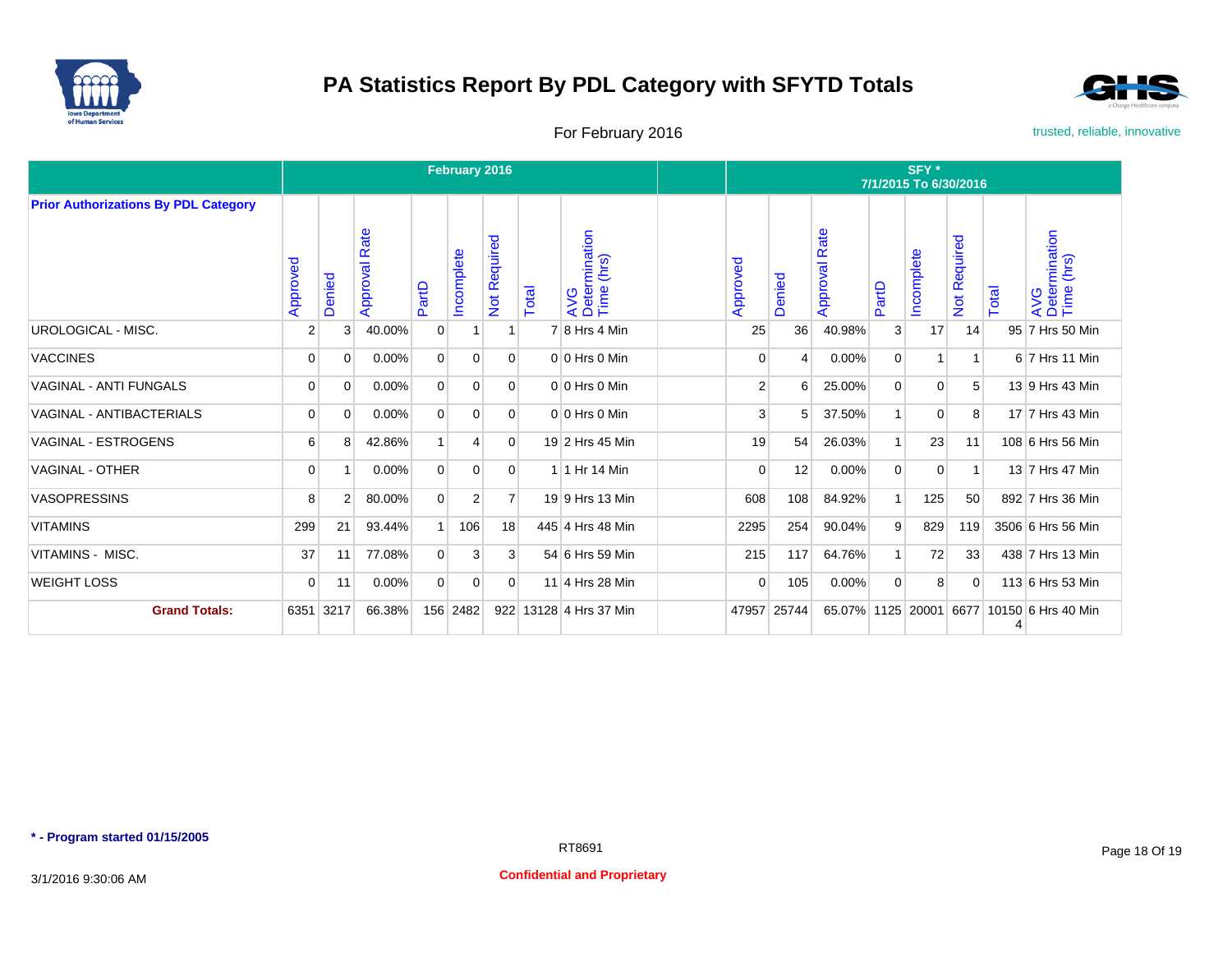



For February 2016 **For February 2016** trusted, reliable, innovative

|                                             |                |                |                  |                | February 2016  |                   |       |                                    | SFY*<br>7/1/2015 To 6/30/2016 |                |                      |              |                |                     |       |                                           |  |  |
|---------------------------------------------|----------------|----------------|------------------|----------------|----------------|-------------------|-------|------------------------------------|-------------------------------|----------------|----------------------|--------------|----------------|---------------------|-------|-------------------------------------------|--|--|
| <b>Prior Authorizations By PDL Category</b> | Approved       | Denied         | Rate<br>Approval | PartD          | ncomplete      | equired<br>Not Re | Total | AVG<br>Determination<br>Time (hrs) | Approved                      | Denied         | <b>Approval Rate</b> | PartD        | Incomplete     | <b>Not Required</b> | Total | AVG<br>Determination<br>Time (hrs)        |  |  |
| <b>UROLOGICAL - MISC.</b>                   | $\overline{2}$ | 3              | 40.00%           | $\mathbf 0$    |                |                   |       | $7 8$ Hrs 4 Min                    | 25                            | 36             | 40.98%               | 3            | 17             | 14                  |       | 95 7 Hrs 50 Min                           |  |  |
| <b>VACCINES</b>                             | 0              | 0              | 0.00%            | $\overline{0}$ | 0              | $\overline{0}$    |       | $0 0$ Hrs $0$ Min                  | $\overline{0}$                | $\overline{4}$ | 0.00%                | $\mathbf{0}$ | $\mathbf{1}$   | 1                   |       | 6 7 Hrs 11 Min                            |  |  |
| <b>VAGINAL - ANTI FUNGALS</b>               | $\overline{0}$ | $\Omega$       | $0.00\%$         | $\overline{0}$ | $\Omega$       | $\overline{0}$    |       | $0 0$ Hrs $0$ Min                  | 2                             | 6              | 25.00%               | $\mathbf{0}$ | $\overline{0}$ | 5                   |       | 13 9 Hrs 43 Min                           |  |  |
| <b>VAGINAL - ANTIBACTERIALS</b>             | $\overline{0}$ | $\Omega$       | 0.00%            | $\overline{0}$ | $\mathbf 0$    | $\overline{0}$    |       | $0 0$ Hrs $0$ Min                  | 3                             | 5              | 37.50%               | -1           | $\overline{0}$ | 8                   |       | 17 7 Hrs 43 Min                           |  |  |
| <b>VAGINAL - ESTROGENS</b>                  | 6              | 8              | 42.86%           | $\mathbf{1}$   | $\overline{4}$ | $\overline{0}$    |       | 19 2 Hrs 45 Min                    | 19                            | 54             | 26.03%               | $\mathbf{1}$ | 23             | 11                  |       | 108 6 Hrs 56 Min                          |  |  |
| <b>VAGINAL - OTHER</b>                      | $\overline{0}$ |                | 0.00%            | $\overline{0}$ | $\mathbf 0$    | $\overline{0}$    |       | 1 1 Hr 14 Min                      | 0                             | 12             | 0.00%                | $\mathbf 0$  | $\mathbf 0$    | $\overline{1}$      |       | 13 7 Hrs 47 Min                           |  |  |
| <b>VASOPRESSINS</b>                         | 8              | $\overline{2}$ | 80.00%           | $\overline{0}$ | $\overline{2}$ | $\overline{7}$    |       | 19 9 Hrs 13 Min                    | 608                           | 108            | 84.92%               | $\mathbf{1}$ | 125            | 50                  |       | 892 7 Hrs 36 Min                          |  |  |
| <b>VITAMINS</b>                             | 299            | 21             | 93.44%           | 1 <sup>1</sup> | 106            | 18                |       | 445 4 Hrs 48 Min                   | 2295                          | 254            | 90.04%               | 9            | 829            | 119                 |       | 3506 6 Hrs 56 Min                         |  |  |
| VITAMINS - MISC.                            | 37             | 11             | 77.08%           | $\overline{0}$ | 3              | 3 <sup>1</sup>    |       | 54 6 Hrs 59 Min                    | 215                           | 117            | 64.76%               | $\mathbf{1}$ | 72             | 33                  |       | 438 7 Hrs 13 Min                          |  |  |
| <b>WEIGHT LOSS</b>                          | 0              | 11             | 0.00%            | $\overline{0}$ | $\mathbf 0$    | $\overline{0}$    |       | 11 4 Hrs 28 Min                    | $\overline{0}$                | 105            | 0.00%                | $\Omega$     | 8              | $\mathbf 0$         |       | 113 6 Hrs 53 Min                          |  |  |
| <b>Grand Totals:</b>                        | 6351 3217      |                | 66.38%           |                | 156 2482       |                   |       | 922 13128 4 Hrs 37 Min             | 47957 25744                   |                |                      |              |                |                     | 4     | 65.07% 1125 20001 6677 10150 6 Hrs 40 Min |  |  |